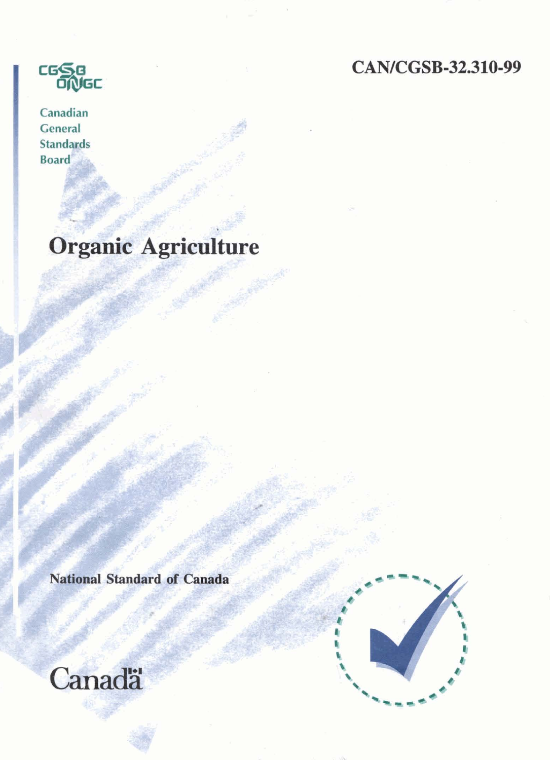# CAN/CGSB-32.310-99



Canadian General **Standards Board** 

**Organie Agriculture** 

National Standard of Canada

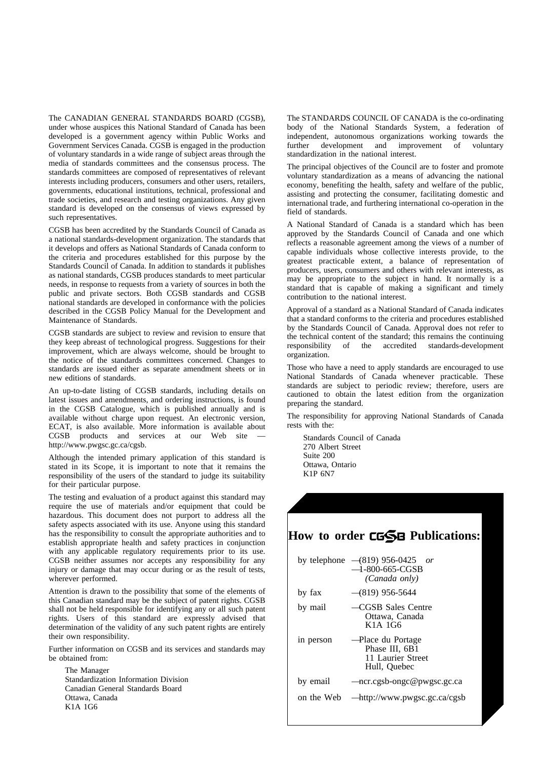The CANADIAN GENERAL STANDARDS BOARD (CGSB), under whose auspices this National Standard of Canada has been developed is a government agency within Public Works and Government Services Canada. CGSB is engaged in the production of voluntary standards in a wide range of subject areas through the media of standards committees and the consensus process. The standards committees are composed of representatives of relevant interests including producers, consumers and other users, retailers, governments, educational institutions, technical, professional and trade societies, and research and testing organizations. Any given standard is developed on the consensus of views expressed by such representatives.

CGSB has been accredited by the Standards Council of Canada as a national standards-development organization. The standards that it develops and offers as National Standards of Canada conform to the criteria and procedures established for this purpose by the Standards Council of Canada. In addition to standards it publishes as national standards, CGSB produces standards to meet particular needs, in response to requests from a variety of sources in both the public and private sectors. Both CGSB standards and CGSB national standards are developed in conformance with the policies described in the CGSB Policy Manual for the Development and Maintenance of Standards.

CGSB standards are subject to review and revision to ensure that they keep abreast of technological progress. Suggestions for their improvement, which are always welcome, should be brought to the notice of the standards committees concerned. Changes to standards are issued either as separate amendment sheets or in new editions of standards.

An up-to-date listing of CGSB standards, including details on latest issues and amendments, and ordering instructions, is found in the CGSB Catalogue, which is published annually and is available without charge upon request. An electronic version, ECAT, is also available. More information is available about CGSB products and services at our Web site http://www.pwgsc.gc.ca/cgsb.

Although the intended primary application of this standard is stated in its Scope, it is important to note that it remains the responsibility of the users of the standard to judge its suitability for their particular purpose.

The testing and evaluation of a product against this standard may require the use of materials and/or equipment that could be hazardous. This document does not purport to address all the safety aspects associated with its use. Anyone using this standard has the responsibility to consult the appropriate authorities and to establish appropriate health and safety practices in conjunction with any applicable regulatory requirements prior to its use. CGSB neither assumes nor accepts any responsibility for any injury or damage that may occur during or as the result of tests, wherever performed.

Attention is drawn to the possibility that some of the elements of this Canadian standard may be the subject of patent rights. CGSB shall not be held responsible for identifying any or all such patent rights. Users of this standard are expressly advised that determination of the validity of any such patent rights are entirely their own responsibility.

Further information on CGSB and its services and standards may be obtained from:

The Manager Standardization Information Division Canadian General Standards Board Ottawa, Canada K1A 1G6

The STANDARDS COUNCIL OF CANADA is the co-ordinating body of the National Standards System, a federation of independent, autonomous organizations working towards the further development and improvement of voluntary development and improvement of voluntary standardization in the national interest.

The principal objectives of the Council are to foster and promote voluntary standardization as a means of advancing the national economy, benefiting the health, safety and welfare of the public, assisting and protecting the consumer, facilitating domestic and international trade, and furthering international co-operation in the field of standards.

A National Standard of Canada is a standard which has been approved by the Standards Council of Canada and one which reflects a reasonable agreement among the views of a number of capable individuals whose collective interests provide, to the greatest practicable extent, a balance of representation of producers, users, consumers and others with relevant interests, as may be appropriate to the subject in hand. It normally is a standard that is capable of making a significant and timely contribution to the national interest.

Approval of a standard as a National Standard of Canada indicates that a standard conforms to the criteria and procedures established by the Standards Council of Canada. Approval does not refer to the technical content of the standard; this remains the continuing responsibility of the accredited standards-development organization.

Those who have a need to apply standards are encouraged to use National Standards of Canada whenever practicable. These standards are subject to periodic review; therefore, users are cautioned to obtain the latest edition from the organization preparing the standard.

The responsibility for approving National Standards of Canada rests with the:

Standards Council of Canada 270 Albert Street Suite 200 Ottawa, Ontario K1P 6N7

# How to order **CGSB** Publications:

|            | by telephone $-(819)$ 956-0425 <i>or</i><br>$-1-800-665$ -CGSB<br>(Canada only) |
|------------|---------------------------------------------------------------------------------|
| by fax     | $\rightarrow$ (819) 956-5644                                                    |
| by mail    | -CGSB Sales Centre<br>Ottawa, Canada<br>$K1A$ 1G6                               |
| in person  | -Place du Portage<br>Phase III, 6B1<br>11 Laurier Street<br>Hull, Ouebec        |
| by email   | $-$ ncr.cgsb-ongc@pwgsc.gc.ca                                                   |
| on the Web | $-\frac{http://www.pwgsc.gc.ca/cgsb}{-$                                         |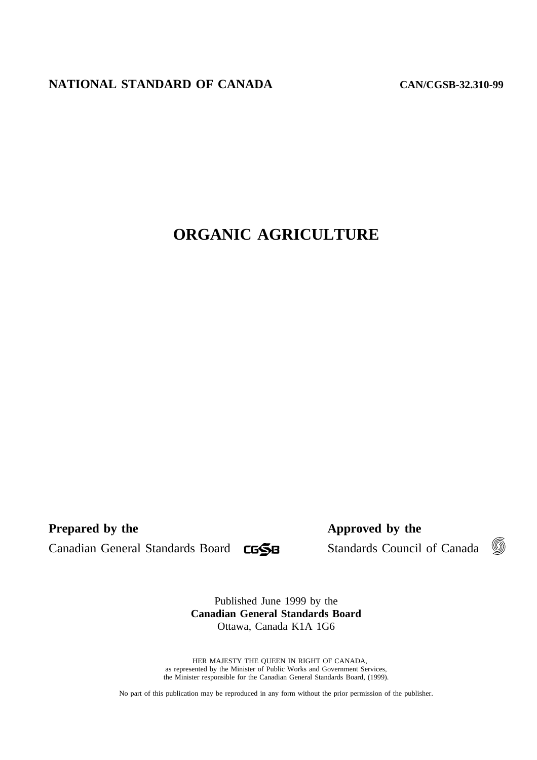# **NATIONAL STANDARD OF CANADA**

CAN/CGSB-32.310-99

# **ORGANIC AGRICULTURE**

**Prepared by the** Approved by the **Approved by the** 

Canadian General Standards Board CGSB Standards Council of Canada



Published June 1999 by the **Canadian General Standards Board**  Ottawa, Canada K1A 1G6

© HER MAJESTY THE QUEEN IN RIGHT OF CANADA, as represented by the Minister of Public Works and Government Services, the Minister responsible for the Canadian General Standards Board, (1999).

No part of this publication may be reproduced in any form without the prior permission of the publisher.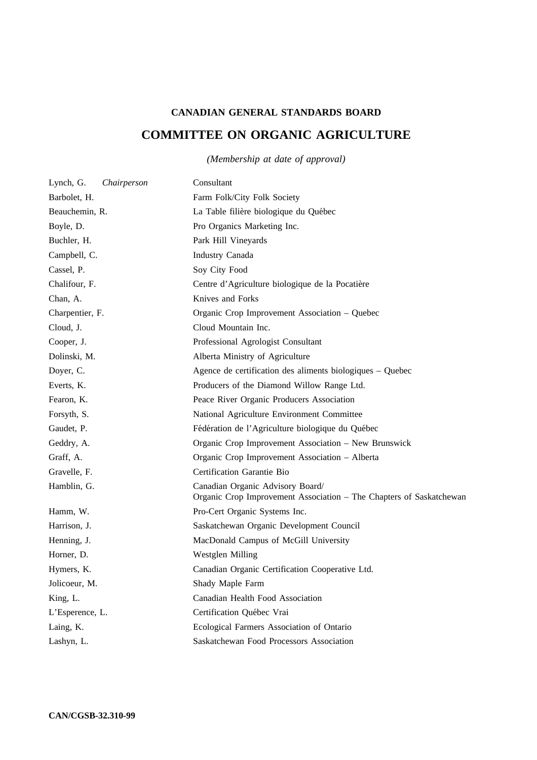# **CANADIAN GENERAL STANDARDS BOARD COMMITTEE ON ORGANIC AGRICULTURE**

## *(Membership at date of approval)*

| Lynch, G.<br>Chairperson | Consultant                                                                                              |
|--------------------------|---------------------------------------------------------------------------------------------------------|
| Barbolet, H.             | Farm Folk/City Folk Society                                                                             |
| Beauchemin, R.           | La Table filière biologique du Québec                                                                   |
| Boyle, D.                | Pro Organics Marketing Inc.                                                                             |
| Buchler, H.              | Park Hill Vineyards                                                                                     |
| Campbell, C.             | Industry Canada                                                                                         |
| Cassel, P.               | Soy City Food                                                                                           |
| Chalifour, F.            | Centre d'Agriculture biologique de la Pocatière                                                         |
| Chan, A.                 | Knives and Forks                                                                                        |
| Charpentier, F.          | Organic Crop Improvement Association - Quebec                                                           |
| Cloud, J.                | Cloud Mountain Inc.                                                                                     |
| Cooper, J.               | Professional Agrologist Consultant                                                                      |
| Dolinski, M.             | Alberta Ministry of Agriculture                                                                         |
| Doyer, C.                | Agence de certification des aliments biologiques – Quebec                                               |
| Everts, K.               | Producers of the Diamond Willow Range Ltd.                                                              |
| Fearon, K.               | Peace River Organic Producers Association                                                               |
| Forsyth, S.              | National Agriculture Environment Committee                                                              |
| Gaudet, P.               | Fédération de l'Agriculture biologique du Québec                                                        |
| Geddry, A.               | Organic Crop Improvement Association - New Brunswick                                                    |
| Graff, A.                | Organic Crop Improvement Association - Alberta                                                          |
| Gravelle, F.             | Certification Garantie Bio                                                                              |
| Hamblin, G.              | Canadian Organic Advisory Board/<br>Organic Crop Improvement Association - The Chapters of Saskatchewan |
| Hamm, W.                 | Pro-Cert Organic Systems Inc.                                                                           |
| Harrison, J.             | Saskatchewan Organic Development Council                                                                |
| Henning, J.              | MacDonald Campus of McGill University                                                                   |
| Horner, D.               | Westglen Milling                                                                                        |
| Hymers, K.               | Canadian Organic Certification Cooperative Ltd.                                                         |
| Jolicoeur, M.            | Shady Maple Farm                                                                                        |
| King, L.                 | Canadian Health Food Association                                                                        |
| L'Esperence, L.          | Certification Québec Vrai                                                                               |
| Laing, K.                | Ecological Farmers Association of Ontario                                                               |
| Lashyn, L.               | Saskatchewan Food Processors Association                                                                |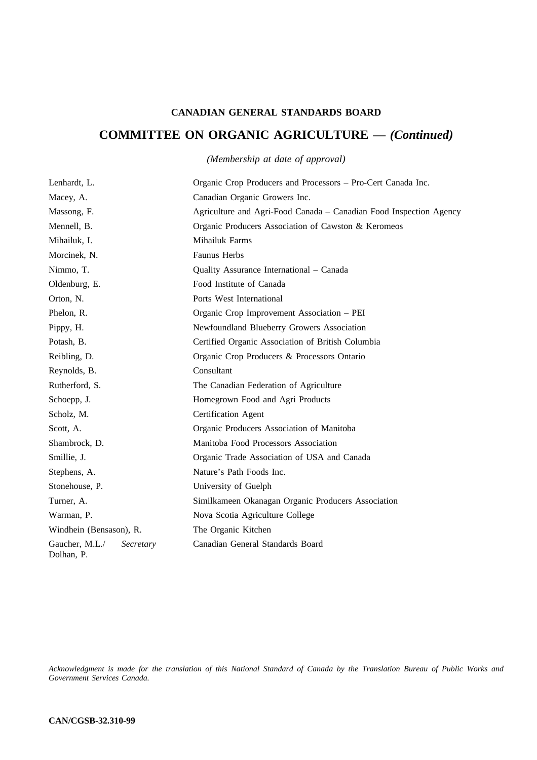## **CANADIAN GENERAL STANDARDS BOARD**

## **COMMITTEE ON ORGANIC AGRICULTURE —** *(Continued)*

*(Membership at date of approval)* 

| Lenhardt, L.                              | Organic Crop Producers and Processors – Pro-Cert Canada Inc.       |
|-------------------------------------------|--------------------------------------------------------------------|
| Macey, A.                                 | Canadian Organic Growers Inc.                                      |
| Massong, F.                               | Agriculture and Agri-Food Canada – Canadian Food Inspection Agency |
| Mennell, B.                               | Organic Producers Association of Cawston & Keromeos                |
| Mihailuk, I.                              | Mihailuk Farms                                                     |
| Morcinek, N.                              | Faunus Herbs                                                       |
| Nimmo, T.                                 | Quality Assurance International - Canada                           |
| Oldenburg, E.                             | Food Institute of Canada                                           |
| Orton, N.                                 | Ports West International                                           |
| Phelon, R.                                | Organic Crop Improvement Association - PEI                         |
| Pippy, H.                                 | Newfoundland Blueberry Growers Association                         |
| Potash, B.                                | Certified Organic Association of British Columbia                  |
| Reibling, D.                              | Organic Crop Producers & Processors Ontario                        |
| Reynolds, B.                              | Consultant                                                         |
| Rutherford, S.                            | The Canadian Federation of Agriculture                             |
| Schoepp, J.                               | Homegrown Food and Agri Products                                   |
| Scholz, M.                                | Certification Agent                                                |
| Scott, A.                                 | Organic Producers Association of Manitoba                          |
| Shambrock, D.                             | Manitoba Food Processors Association                               |
| Smillie, J.                               | Organic Trade Association of USA and Canada                        |
| Stephens, A.                              | Nature's Path Foods Inc.                                           |
| Stonehouse, P.                            | University of Guelph                                               |
| Turner, A.                                | Similkameen Okanagan Organic Producers Association                 |
| Warman, P.                                | Nova Scotia Agriculture College                                    |
| Windhein (Bensason), R.                   | The Organic Kitchen                                                |
| Gaucher, M.L./<br>Secretary<br>Dolhan, P. | Canadian General Standards Board                                   |

*Acknowledgment is made for the translation of this National Standard of Canada by the Translation Bureau of Public Works and Government Services Canada.*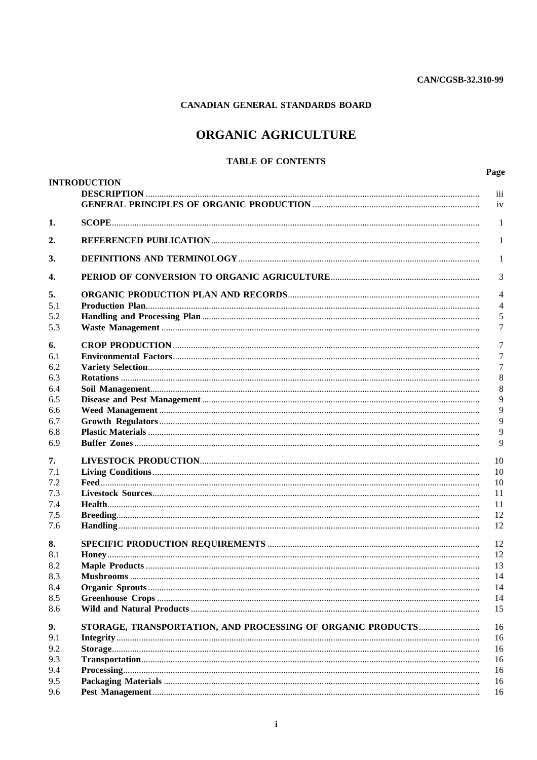## CANADIAN GENERAL STANDARDS BOARD

# ORGANIC AGRICULTURE

## **TABLE OF CONTENTS**

|     | <b>INTRODUCTION</b>                                                                                                                                                                                                                                                                                                                                                                                                                                                                                    | Page<br>$\overline{111}$ |
|-----|--------------------------------------------------------------------------------------------------------------------------------------------------------------------------------------------------------------------------------------------------------------------------------------------------------------------------------------------------------------------------------------------------------------------------------------------------------------------------------------------------------|--------------------------|
|     |                                                                                                                                                                                                                                                                                                                                                                                                                                                                                                        | iv                       |
| 1.  |                                                                                                                                                                                                                                                                                                                                                                                                                                                                                                        | 1                        |
| 2.  |                                                                                                                                                                                                                                                                                                                                                                                                                                                                                                        | 1                        |
| 3.  |                                                                                                                                                                                                                                                                                                                                                                                                                                                                                                        | 1                        |
| 4.  |                                                                                                                                                                                                                                                                                                                                                                                                                                                                                                        | 3                        |
| 5.  |                                                                                                                                                                                                                                                                                                                                                                                                                                                                                                        | 4                        |
| 5.1 |                                                                                                                                                                                                                                                                                                                                                                                                                                                                                                        | 4                        |
| 5.2 |                                                                                                                                                                                                                                                                                                                                                                                                                                                                                                        | 5                        |
| 5.3 |                                                                                                                                                                                                                                                                                                                                                                                                                                                                                                        | 7                        |
| 6.  |                                                                                                                                                                                                                                                                                                                                                                                                                                                                                                        | 7                        |
| 6.1 |                                                                                                                                                                                                                                                                                                                                                                                                                                                                                                        | 7                        |
| 6.2 |                                                                                                                                                                                                                                                                                                                                                                                                                                                                                                        | 7                        |
| 6.3 |                                                                                                                                                                                                                                                                                                                                                                                                                                                                                                        | 8                        |
| 6.4 |                                                                                                                                                                                                                                                                                                                                                                                                                                                                                                        | 8                        |
| 6.5 |                                                                                                                                                                                                                                                                                                                                                                                                                                                                                                        | 9                        |
| 6.6 |                                                                                                                                                                                                                                                                                                                                                                                                                                                                                                        | 9                        |
| 6.7 |                                                                                                                                                                                                                                                                                                                                                                                                                                                                                                        | 9                        |
| 6.8 |                                                                                                                                                                                                                                                                                                                                                                                                                                                                                                        | 9                        |
| 6.9 |                                                                                                                                                                                                                                                                                                                                                                                                                                                                                                        | 9                        |
| 7.  |                                                                                                                                                                                                                                                                                                                                                                                                                                                                                                        | 10                       |
| 7.1 |                                                                                                                                                                                                                                                                                                                                                                                                                                                                                                        | 10                       |
| 7.2 |                                                                                                                                                                                                                                                                                                                                                                                                                                                                                                        | 10                       |
| 7.3 |                                                                                                                                                                                                                                                                                                                                                                                                                                                                                                        | 11                       |
| 7.4 |                                                                                                                                                                                                                                                                                                                                                                                                                                                                                                        | 11                       |
| 7.5 |                                                                                                                                                                                                                                                                                                                                                                                                                                                                                                        | 12                       |
| 7.6 |                                                                                                                                                                                                                                                                                                                                                                                                                                                                                                        | 12                       |
| 8.  |                                                                                                                                                                                                                                                                                                                                                                                                                                                                                                        | 12                       |
| 8.1 |                                                                                                                                                                                                                                                                                                                                                                                                                                                                                                        | 12                       |
| 8.2 |                                                                                                                                                                                                                                                                                                                                                                                                                                                                                                        | 13                       |
| 8.3 |                                                                                                                                                                                                                                                                                                                                                                                                                                                                                                        | 14                       |
| 8.4 |                                                                                                                                                                                                                                                                                                                                                                                                                                                                                                        | 14                       |
| 8.5 |                                                                                                                                                                                                                                                                                                                                                                                                                                                                                                        | 14                       |
| 8.6 |                                                                                                                                                                                                                                                                                                                                                                                                                                                                                                        | 15                       |
| 9.  | STORAGE, TRANSPORTATION, AND PROCESSING OF ORGANIC PRODUCTS                                                                                                                                                                                                                                                                                                                                                                                                                                            | 16                       |
| 9.1 |                                                                                                                                                                                                                                                                                                                                                                                                                                                                                                        | 16                       |
| 9.2 |                                                                                                                                                                                                                                                                                                                                                                                                                                                                                                        | 16                       |
| 9.3 |                                                                                                                                                                                                                                                                                                                                                                                                                                                                                                        |                          |
| 9.4 |                                                                                                                                                                                                                                                                                                                                                                                                                                                                                                        | 16                       |
|     | $\textbf{Processing}.\textcolor{blue}{\textbf{m}}\textbf{m}.\textcolor{blue}{\textbf{m}}\textbf{m}.\textcolor{blue}{\textbf{m}}\textbf{m}.\textcolor{blue}{\textbf{m}}\textbf{m}.\textcolor{blue}{\textbf{m}}\textbf{m}.\textcolor{blue}{\textbf{m}}\textbf{m}.\textcolor{blue}{\textbf{m}}\textbf{m}.\textcolor{blue}{\textbf{m}}\textbf{m}.\textcolor{blue}{\textbf{m}}\textbf{m}.\textcolor{blue}{\textbf{m}}\textbf{m}.\textcolor{blue}{\textbf{m}}\textbf{m}.\textcolor{blue}{\textbf{m}}\textbf$ | 16                       |
| 9.5 |                                                                                                                                                                                                                                                                                                                                                                                                                                                                                                        | 16<br>16                 |
| 9.6 |                                                                                                                                                                                                                                                                                                                                                                                                                                                                                                        |                          |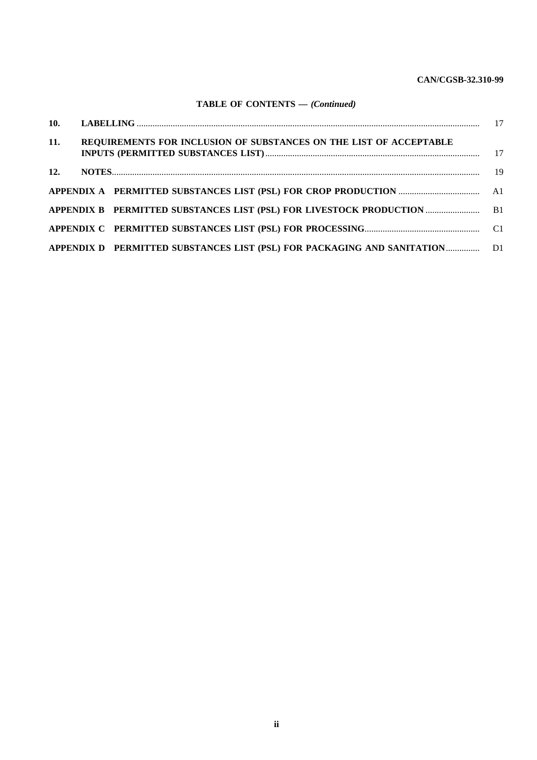## **CAN/CGSB-32.310-99**

## **TABLE OF CONTENTS —** *(Continued)*

| <b>11.</b> | REQUIREMENTS FOR INCLUSION OF SUBSTANCES ON THE LIST OF ACCEPTABLE         |  |
|------------|----------------------------------------------------------------------------|--|
| <b>12.</b> |                                                                            |  |
|            |                                                                            |  |
|            |                                                                            |  |
|            |                                                                            |  |
|            | APPENDIX D PERMITTED SUBSTANCES LIST (PSL) FOR PACKAGING AND SANITATION D1 |  |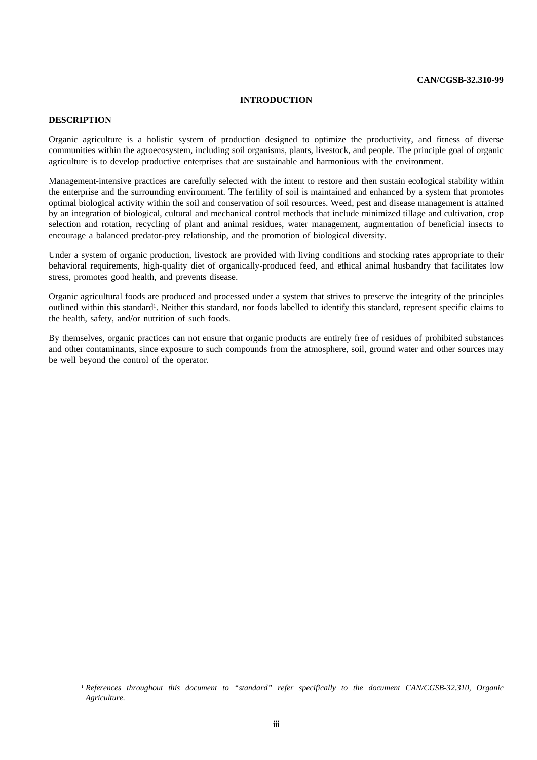### **INTRODUCTION**

## **DESCRIPTION**

Organic agriculture is a holistic system of production designed to optimize the productivity, and fitness of diverse communities within the agroecosystem, including soil organisms, plants, livestock, and people. The principle goal of organic agriculture is to develop productive enterprises that are sustainable and harmonious with the environment.

Management-intensive practices are carefully selected with the intent to restore and then sustain ecological stability within the enterprise and the surrounding environment. The fertility of soil is maintained and enhanced by a system that promotes optimal biological activity within the soil and conservation of soil resources. Weed, pest and disease management is attained by an integration of biological, cultural and mechanical control methods that include minimized tillage and cultivation, crop selection and rotation, recycling of plant and animal residues, water management, augmentation of beneficial insects to encourage a balanced predator-prey relationship, and the promotion of biological diversity.

Under a system of organic production, livestock are provided with living conditions and stocking rates appropriate to their behavioral requirements, high-quality diet of organically-produced feed, and ethical animal husbandry that facilitates low stress, promotes good health, and prevents disease.

Organic agricultural foods are produced and processed under a system that strives to preserve the integrity of the principles outlined within this standard<sup>1</sup>. Neither this standard, nor foods labelled to identify this standard, represent specific claims to the health, safety, and/or nutrition of such foods.

By themselves, organic practices can not ensure that organic products are entirely free of residues of prohibited substances and other contaminants, since exposure to such compounds from the atmosphere, soil, ground water and other sources may be well beyond the control of the operator.

*<sup>1</sup>References throughout this document to "standard" refer specifically to the document CAN/CGSB-32.310, Organic Agriculture.*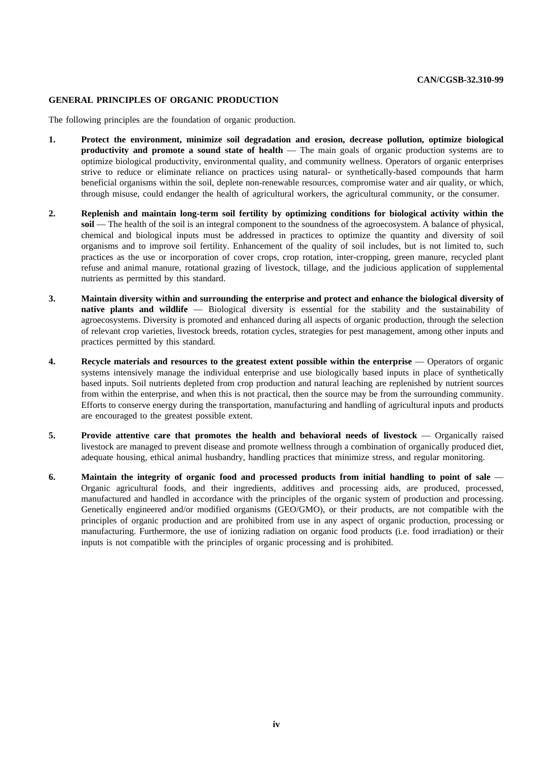## **GENERAL PRINCIPLES OF ORGANIC PRODUCTION**

The following principles are the foundation of organic production.

- **1. Protect the environment, minimize soil degradation and erosion, decrease pollution, optimize biological productivity and promote a sound state of health** — The main goals of organic production systems are to optimize biological productivity, environmental quality, and community wellness. Operators of organic enterprises strive to reduce or eliminate reliance on practices using natural- or synthetically-based compounds that harm beneficial organisms within the soil, deplete non-renewable resources, compromise water and air quality, or which, through misuse, could endanger the health of agricultural workers, the agricultural community, or the consumer.
- **2. Replenish and maintain long-term soil fertility by optimizing conditions for biological activity within the soil** — The health of the soil is an integral component to the soundness of the agroecosystem. A balance of physical, chemical and biological inputs must be addressed in practices to optimize the quantity and diversity of soil organisms and to improve soil fertility. Enhancement of the quality of soil includes, but is not limited to, such practices as the use or incorporation of cover crops, crop rotation, inter-cropping, green manure, recycled plant refuse and animal manure, rotational grazing of livestock, tillage, and the judicious application of supplemental nutrients as permitted by this standard.
- **3. Maintain diversity within and surrounding the enterprise and protect and enhance the biological diversity of native plants and wildlife** — Biological diversity is essential for the stability and the sustainability of agroecosystems. Diversity is promoted and enhanced during all aspects of organic production, through the selection of relevant crop varieties, livestock breeds, rotation cycles, strategies for pest management, among other inputs and practices permitted by this standard.
- **4. Recycle materials and resources to the greatest extent possible within the enterprise** Operators of organic systems intensively manage the individual enterprise and use biologically based inputs in place of synthetically based inputs. Soil nutrients depleted from crop production and natural leaching are replenished by nutrient sources from within the enterprise, and when this is not practical, then the source may be from the surrounding community. Efforts to conserve energy during the transportation, manufacturing and handling of agricultural inputs and products are encouraged to the greatest possible extent.
- **5. Provide attentive care that promotes the health and behavioral needs of livestock** Organically raised livestock are managed to prevent disease and promote wellness through a combination of organically produced diet, adequate housing, ethical animal husbandry, handling practices that minimize stress, and regular monitoring.
- **6. Maintain the integrity of organic food and processed products from initial handling to point of sale** Organic agricultural foods, and their ingredients, additives and processing aids, are produced, processed, manufactured and handled in accordance with the principles of the organic system of production and processing. Genetically engineered and/or modified organisms (GEO/GMO), or their products, are not compatible with the principles of organic production and are prohibited from use in any aspect of organic production, processing or manufacturing. Furthermore, the use of ionizing radiation on organic food products (i.e. food irradiation) or their inputs is not compatible with the principles of organic processing and is prohibited.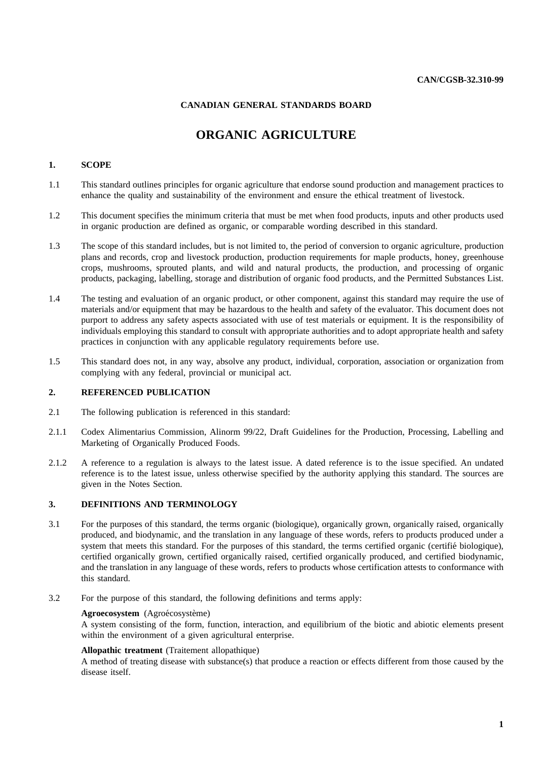## **CANADIAN GENERAL STANDARDS BOARD**

# **ORGANIC AGRICULTURE**

## **1. SCOPE**

- 1.1 This standard outlines principles for organic agriculture that endorse sound production and management practices to enhance the quality and sustainability of the environment and ensure the ethical treatment of livestock.
- 1.2 This document specifies the minimum criteria that must be met when food products, inputs and other products used in organic production are defined as organic, or comparable wording described in this standard.
- 1.3 The scope of this standard includes, but is not limited to, the period of conversion to organic agriculture, production plans and records, crop and livestock production, production requirements for maple products, honey, greenhouse crops, mushrooms, sprouted plants, and wild and natural products, the production, and processing of organic products, packaging, labelling, storage and distribution of organic food products, and the Permitted Substances List.
- 1.4 The testing and evaluation of an organic product, or other component, against this standard may require the use of materials and/or equipment that may be hazardous to the health and safety of the evaluator. This document does not purport to address any safety aspects associated with use of test materials or equipment. It is the responsibility of individuals employing this standard to consult with appropriate authorities and to adopt appropriate health and safety practices in conjunction with any applicable regulatory requirements before use.
- 1.5 This standard does not, in any way, absolve any product, individual, corporation, association or organization from complying with any federal, provincial or municipal act.

## **2. REFERENCED PUBLICATION**

- 2.1 The following publication is referenced in this standard:
- 2.1.1 Codex Alimentarius Commission, Alinorm 99/22, Draft Guidelines for the Production, Processing, Labelling and Marketing of Organically Produced Foods.
- 2.1.2 A reference to a regulation is always to the latest issue. A dated reference is to the issue specified. An undated reference is to the latest issue, unless otherwise specified by the authority applying this standard. The sources are given in the Notes Section.

## **3. DEFINITIONS AND TERMINOLOGY**

- 3.1 For the purposes of this standard, the terms organic (biologique), organically grown, organically raised, organically produced, and biodynamic, and the translation in any language of these words, refers to products produced under a system that meets this standard. For the purposes of this standard, the terms certified organic (certifié biologique), certified organically grown, certified organically raised, certified organically produced, and certified biodynamic, and the translation in any language of these words, refers to products whose certification attests to conformance with this standard.
- 3.2 For the purpose of this standard, the following definitions and terms apply:

## Agroecosystem (Agroécosystème)

A system consisting of the form, function, interaction, and equilibrium of the biotic and abiotic elements present within the environment of a given agricultural enterprise.

## **Allopathic treatment** (Traitement allopathique)

A method of treating disease with substance(s) that produce a reaction or effects different from those caused by the disease itself.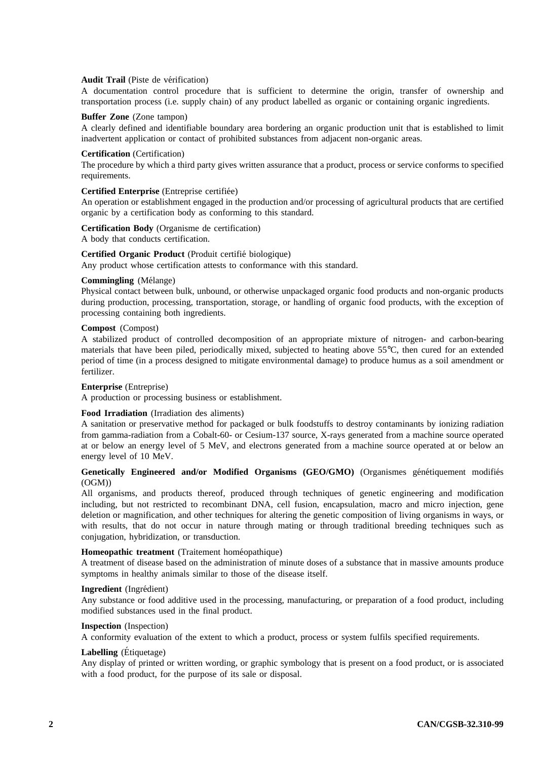## Audit Trail (Piste de vérification)

A documentation control procedure that is sufficient to determine the origin, transfer of ownership and transportation process (i.e. supply chain) of any product labelled as organic or containing organic ingredients.

### **Buffer Zone** (Zone tampon)

A clearly defined and identifiable boundary area bordering an organic production unit that is established to limit inadvertent application or contact of prohibited substances from adjacent non-organic areas.

## **Certification** (Certification)

The procedure by which a third party gives written assurance that a product, process or service conforms to specified requirements.

## Certified Enterprise (Entreprise certifiée)

An operation or establishment engaged in the production and/or processing of agricultural products that are certified organic by a certification body as conforming to this standard.

## **Certification Body** (Organisme de certification)

A body that conducts certification.

#### Certified Organic Product (Produit certifié biologique)

Any product whose certification attests to conformance with this standard.

#### **Commingling** (Mélange)

Physical contact between bulk, unbound, or otherwise unpackaged organic food products and non-organic products during production, processing, transportation, storage, or handling of organic food products, with the exception of processing containing both ingredients.

## **Compost** (Compost)

A stabilized product of controlled decomposition of an appropriate mixture of nitrogen- and carbon-bearing materials that have been piled, periodically mixed, subjected to heating above 55°C, then cured for an extended period of time (in a process designed to mitigate environmental damage) to produce humus as a soil amendment or fertilizer.

## **Enterprise** (Entreprise)

A production or processing business or establishment.

## **Food Irradiation** (Irradiation des aliments)

A sanitation or preservative method for packaged or bulk foodstuffs to destroy contaminants by ionizing radiation from gamma-radiation from a Cobalt-60- or Cesium-137 source, X-rays generated from a machine source operated at or below an energy level of 5 MeV, and electrons generated from a machine source operated at or below an energy level of 10 MeV.

## Genetically Engineered and/or Modified Organisms (GEO/GMO) (Organismes génétiquement modifiés (OGM))

All organisms, and products thereof, produced through techniques of genetic engineering and modification including, but not restricted to recombinant DNA, cell fusion, encapsulation, macro and micro injection, gene deletion or magnification, and other techniques for altering the genetic composition of living organisms in ways, or with results, that do not occur in nature through mating or through traditional breeding techniques such as conjugation, hybridization, or transduction.

#### Homeopathic treatment (Traitement homéopathique)

A treatment of disease based on the administration of minute doses of a substance that in massive amounts produce symptoms in healthy animals similar to those of the disease itself.

#### Ingredient (Ingrédient)

Any substance or food additive used in the processing, manufacturing, or preparation of a food product, including modified substances used in the final product.

## **Inspection** (Inspection)

A conformity evaluation of the extent to which a product, process or system fulfils specified requirements.

## Labelling (Étiquetage)

Any display of printed or written wording, or graphic symbology that is present on a food product, or is associated with a food product, for the purpose of its sale or disposal.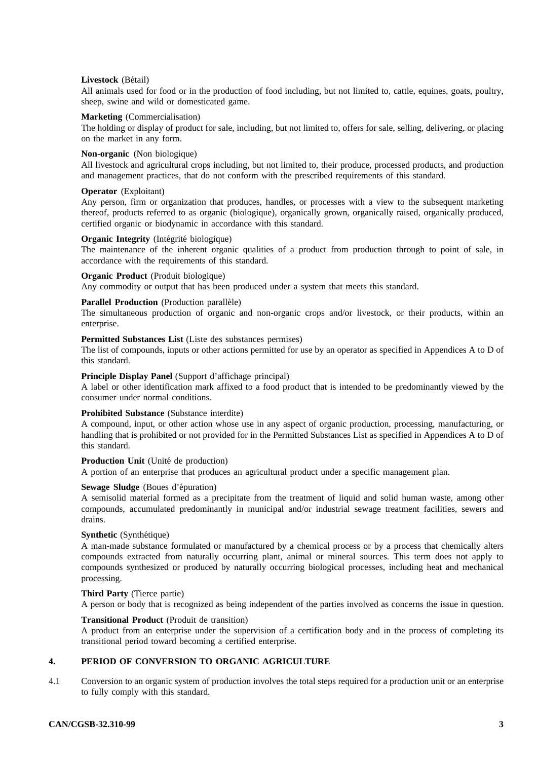## **Livestock** (Bétail)

All animals used for food or in the production of food including, but not limited to, cattle, equines, goats, poultry, sheep, swine and wild or domesticated game.

## **Marketing** (Commercialisation)

The holding or display of product for sale, including, but not limited to, offers for sale, selling, delivering, or placing on the market in any form.

## **Non-organic** (Non biologique)

All livestock and agricultural crops including, but not limited to, their produce, processed products, and production and management practices, that do not conform with the prescribed requirements of this standard.

## **Operator** (Exploitant)

Any person, firm or organization that produces, handles, or processes with a view to the subsequent marketing thereof, products referred to as organic (biologique), organically grown, organically raised, organically produced, certified organic or biodynamic in accordance with this standard.

## **Organic Integrity** (Intégrité biologique)

The maintenance of the inherent organic qualities of a product from production through to point of sale, in accordance with the requirements of this standard.

#### **Organic Product** (Produit biologique)

Any commodity or output that has been produced under a system that meets this standard.

#### Parallel Production (Production parallèle)

The simultaneous production of organic and non-organic crops and/or livestock, or their products, within an enterprise.

#### **Permitted Substances List** (Liste des substances permises)

The list of compounds, inputs or other actions permitted for use by an operator as specified in Appendices A to D of this standard.

#### **Principle Display Panel** (Support d'affichage principal)

A label or other identification mark affixed to a food product that is intended to be predominantly viewed by the consumer under normal conditions.

#### **Prohibited Substance** (Substance interdite)

A compound, input, or other action whose use in any aspect of organic production, processing, manufacturing, or handling that is prohibited or not provided for in the Permitted Substances List as specified in Appendices A to D of this standard.

## **Production Unit** (Unité de production)

A portion of an enterprise that produces an agricultural product under a specific management plan.

## Sewage Sludge (Boues d'épuration)

A semisolid material formed as a precipitate from the treatment of liquid and solid human waste, among other compounds, accumulated predominantly in municipal and/or industrial sewage treatment facilities, sewers and drains.

#### **Synthetic** (Synthétique)

A man-made substance formulated or manufactured by a chemical process or by a process that chemically alters compounds extracted from naturally occurring plant, animal or mineral sources. This term does not apply to compounds synthesized or produced by naturally occurring biological processes, including heat and mechanical processing.

## **Third Party** (Tierce partie)

A person or body that is recognized as being independent of the parties involved as concerns the issue in question.

## **Transitional Product** (Produit de transition)

A product from an enterprise under the supervision of a certification body and in the process of completing its transitional period toward becoming a certified enterprise.

## **4. PERIOD OF CONVERSION TO ORGANIC AGRICULTURE**

4.1 Conversion to an organic system of production involves the total steps required for a production unit or an enterprise to fully comply with this standard.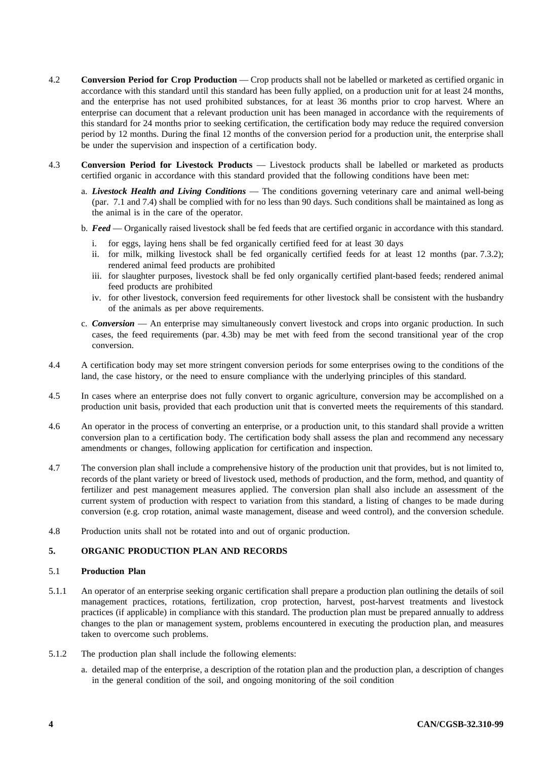- 4.2 **Conversion Period for Crop Production** Crop products shall not be labelled or marketed as certified organic in accordance with this standard until this standard has been fully applied, on a production unit for at least 24 months, and the enterprise has not used prohibited substances, for at least 36 months prior to crop harvest. Where an enterprise can document that a relevant production unit has been managed in accordance with the requirements of this standard for 24 months prior to seeking certification, the certification body may reduce the required conversion period by 12 months. During the final 12 months of the conversion period for a production unit, the enterprise shall be under the supervision and inspection of a certification body.
- 4.3 **Conversion Period for Livestock Products** Livestock products shall be labelled or marketed as products certified organic in accordance with this standard provided that the following conditions have been met:
	- a. *Livestock Health and Living Conditions* The conditions governing veterinary care and animal well-being (par. 7.1 and 7.4) shall be complied with for no less than 90 days. Such conditions shall be maintained as long as the animal is in the care of the operator.
	- b. *Feed* Organically raised livestock shall be fed feeds that are certified organic in accordance with this standard.
		- i. for eggs, laying hens shall be fed organically certified feed for at least 30 days
		- ii. for milk, milking livestock shall be fed organically certified feeds for at least 12 months (par. 7.3.2); rendered animal feed products are prohibited
		- iii. for slaughter purposes, livestock shall be fed only organically certified plant-based feeds; rendered animal feed products are prohibited
		- iv. for other livestock, conversion feed requirements for other livestock shall be consistent with the husbandry of the animals as per above requirements.
	- c. *Conversion* An enterprise may simultaneously convert livestock and crops into organic production. In such cases, the feed requirements (par. 4.3b) may be met with feed from the second transitional year of the crop conversion.
- 4.4 A certification body may set more stringent conversion periods for some enterprises owing to the conditions of the land, the case history, or the need to ensure compliance with the underlying principles of this standard.
- 4.5 In cases where an enterprise does not fully convert to organic agriculture, conversion may be accomplished on a production unit basis, provided that each production unit that is converted meets the requirements of this standard.
- 4.6 An operator in the process of converting an enterprise, or a production unit, to this standard shall provide a written conversion plan to a certification body. The certification body shall assess the plan and recommend any necessary amendments or changes, following application for certification and inspection.
- 4.7 The conversion plan shall include a comprehensive history of the production unit that provides, but is not limited to, records of the plant variety or breed of livestock used, methods of production, and the form, method, and quantity of fertilizer and pest management measures applied. The conversion plan shall also include an assessment of the current system of production with respect to variation from this standard, a listing of changes to be made during conversion (e.g. crop rotation, animal waste management, disease and weed control), and the conversion schedule.
- 4.8 Production units shall not be rotated into and out of organic production.

## **5. ORGANIC PRODUCTION PLAN AND RECORDS**

## 5.1 **Production Plan**

- 5.1.1 An operator of an enterprise seeking organic certification shall prepare a production plan outlining the details of soil management practices, rotations, fertilization, crop protection, harvest, post-harvest treatments and livestock practices (if applicable) in compliance with this standard. The production plan must be prepared annually to address changes to the plan or management system, problems encountered in executing the production plan, and measures taken to overcome such problems.
- 5.1.2 The production plan shall include the following elements:
	- a. detailed map of the enterprise, a description of the rotation plan and the production plan, a description of changes in the general condition of the soil, and ongoing monitoring of the soil condition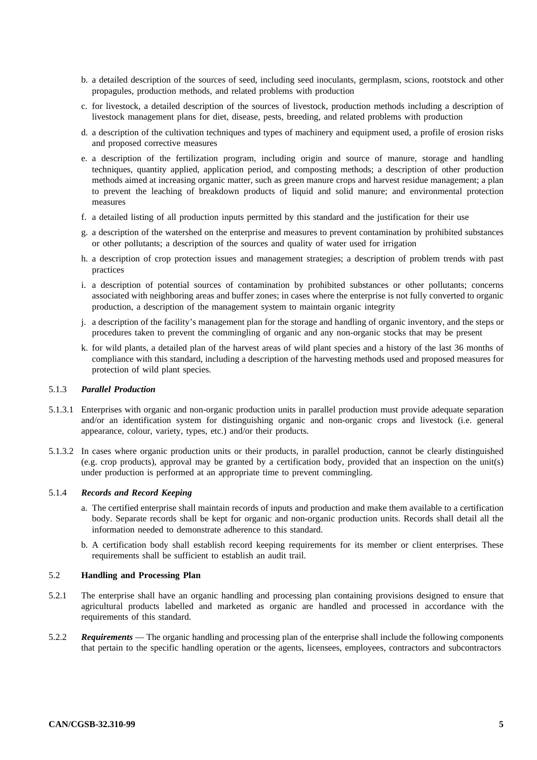- b. a detailed description of the sources of seed, including seed inoculants, germplasm, scions, rootstock and other propagules, production methods, and related problems with production
- c. for livestock, a detailed description of the sources of livestock, production methods including a description of livestock management plans for diet, disease, pests, breeding, and related problems with production
- d. a description of the cultivation techniques and types of machinery and equipment used, a profile of erosion risks and proposed corrective measures
- e. a description of the fertilization program, including origin and source of manure, storage and handling techniques, quantity applied, application period, and composting methods; a description of other production methods aimed at increasing organic matter, such as green manure crops and harvest residue management; a plan to prevent the leaching of breakdown products of liquid and solid manure; and environmental protection measures
- f. a detailed listing of all production inputs permitted by this standard and the justification for their use
- g. a description of the watershed on the enterprise and measures to prevent contamination by prohibited substances or other pollutants; a description of the sources and quality of water used for irrigation
- h. a description of crop protection issues and management strategies; a description of problem trends with past practices
- i. a description of potential sources of contamination by prohibited substances or other pollutants; concerns associated with neighboring areas and buffer zones; in cases where the enterprise is not fully converted to organic production, a description of the management system to maintain organic integrity
- j. a description of the facility's management plan for the storage and handling of organic inventory, and the steps or procedures taken to prevent the commingling of organic and any non-organic stocks that may be present
- k. for wild plants, a detailed plan of the harvest areas of wild plant species and a history of the last 36 months of compliance with this standard, including a description of the harvesting methods used and proposed measures for protection of wild plant species.

## 5.1.3 *Parallel Production*

- 5.1.3.1 Enterprises with organic and non-organic production units in parallel production must provide adequate separation and/or an identification system for distinguishing organic and non-organic crops and livestock (i.e. general appearance, colour, variety, types, etc.) and/or their products.
- 5.1.3.2 In cases where organic production units or their products, in parallel production, cannot be clearly distinguished (e.g. crop products), approval may be granted by a certification body, provided that an inspection on the unit(s) under production is performed at an appropriate time to prevent commingling.

## 5.1.4 *Records and Record Keeping*

- a. The certified enterprise shall maintain records of inputs and production and make them available to a certification body. Separate records shall be kept for organic and non-organic production units. Records shall detail all the information needed to demonstrate adherence to this standard.
- b. A certification body shall establish record keeping requirements for its member or client enterprises. These requirements shall be sufficient to establish an audit trail.

#### 5.2 **Handling and Processing Plan**

- 5.2.1 The enterprise shall have an organic handling and processing plan containing provisions designed to ensure that agricultural products labelled and marketed as organic are handled and processed in accordance with the requirements of this standard.
- 5.2.2 *Requirements* The organic handling and processing plan of the enterprise shall include the following components that pertain to the specific handling operation or the agents, licensees, employees, contractors and subcontractors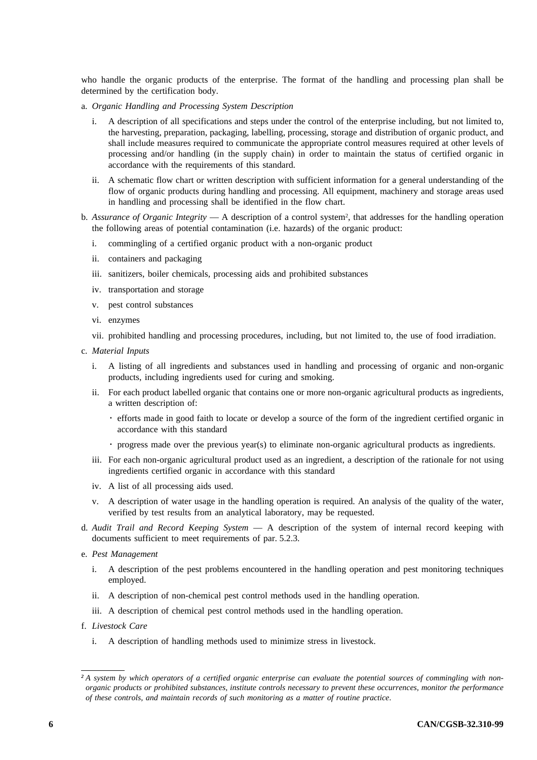who handle the organic products of the enterprise. The format of the handling and processing plan shall be determined by the certification body.

- a. *Organic Handling and Processing System Description* 
	- A description of all specifications and steps under the control of the enterprise including, but not limited to, the harvesting, preparation, packaging, labelling, processing, storage and distribution of organic product, and shall include measures required to communicate the appropriate control measures required at other levels of processing and/or handling (in the supply chain) in order to maintain the status of certified organic in accordance with the requirements of this standard.
	- ii. A schematic flow chart or written description with sufficient information for a general understanding of the flow of organic products during handling and processing. All equipment, machinery and storage areas used in handling and processing shall be identified in the flow chart.
- b. *Assurance of Organic Integrity* A description of a control system<sup>2</sup>, that addresses for the handling operation the following areas of potential contamination (i.e. hazards) of the organic product:
	- i. commingling of a certified organic product with a non-organic product
	- ii. containers and packaging
	- iii. sanitizers, boiler chemicals, processing aids and prohibited substances
	- iv. transportation and storage
	- v. pest control substances
	- vi. enzymes
	- vii. prohibited handling and processing procedures, including, but not limited to, the use of food irradiation.
- c. *Material Inputs* 
	- i. A listing of all ingredients and substances used in handling and processing of organic and non-organic products, including ingredients used for curing and smoking.
	- ii. For each product labelled organic that contains one or more non-organic agricultural products as ingredients, a written description of:
		- . efforts made in good faith to locate or develop a source of the form of the ingredient certified organic in accordance with this standard
		- . progress made over the previous year(s) to eliminate non-organic agricultural products as ingredients.
	- iii. For each non-organic agricultural product used as an ingredient, a description of the rationale for not using ingredients certified organic in accordance with this standard
	- iv. A list of all processing aids used.
	- v. A description of water usage in the handling operation is required. An analysis of the quality of the water, verified by test results from an analytical laboratory, may be requested.
- d. *Audit Trail and Record Keeping System* A description of the system of internal record keeping with documents sufficient to meet requirements of par. 5.2.3.
- e. *Pest Management* 
	- i. A description of the pest problems encountered in the handling operation and pest monitoring techniques employed.
	- ii. A description of non-chemical pest control methods used in the handling operation.
	- iii. A description of chemical pest control methods used in the handling operation.
- f. *Livestock Care* 
	- i. A description of handling methods used to minimize stress in livestock.

*<sup>2</sup> A system by which operators of a certified organic enterprise can evaluate the potential sources of commingling with nonorganic products or prohibited substances, institute controls necessary to prevent these occurrences, monitor the performance of these controls, and maintain records of such monitoring as a matter of routine practice*.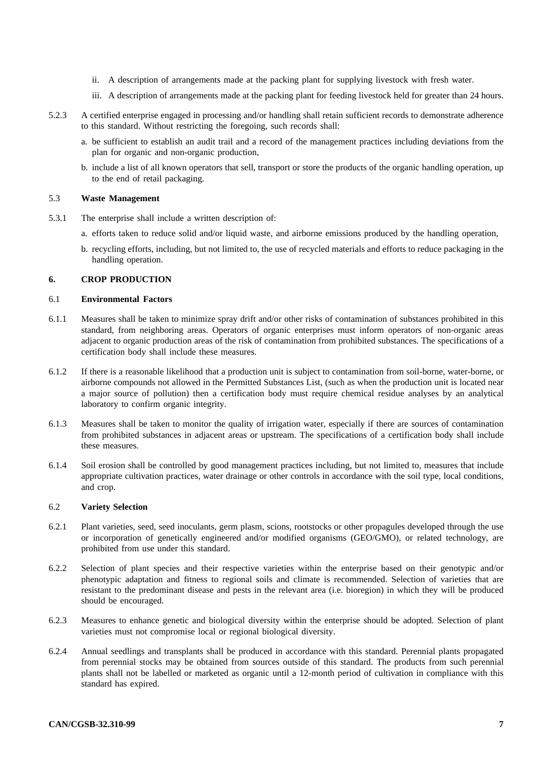- ii. A description of arrangements made at the packing plant for supplying livestock with fresh water.
- iii. A description of arrangements made at the packing plant for feeding livestock held for greater than 24 hours.
- 5.2.3 A certified enterprise engaged in processing and/or handling shall retain sufficient records to demonstrate adherence to this standard. Without restricting the foregoing, such records shall:
	- a. be sufficient to establish an audit trail and a record of the management practices including deviations from the plan for organic and non-organic production,
	- b. include a list of all known operators that sell, transport or store the products of the organic handling operation, up to the end of retail packaging.

## 5.3 **Waste Management**

- 5.3.1 The enterprise shall include a written description of:
	- a. efforts taken to reduce solid and/or liquid waste, and airborne emissions produced by the handling operation,
	- b. recycling efforts, including, but not limited to, the use of recycled materials and efforts to reduce packaging in the handling operation.

## **6. CROP PRODUCTION**

## 6.1 **Environmental Factors**

- 6.1.1 Measures shall be taken to minimize spray drift and/or other risks of contamination of substances prohibited in this standard, from neighboring areas. Operators of organic enterprises must inform operators of non-organic areas adjacent to organic production areas of the risk of contamination from prohibited substances. The specifications of a certification body shall include these measures.
- 6.1.2 If there is a reasonable likelihood that a production unit is subject to contamination from soil-borne, water-borne, or airborne compounds not allowed in the Permitted Substances List, (such as when the production unit is located near a major source of pollution) then a certification body must require chemical residue analyses by an analytical laboratory to confirm organic integrity.
- 6.1.3 Measures shall be taken to monitor the quality of irrigation water, especially if there are sources of contamination from prohibited substances in adjacent areas or upstream. The specifications of a certification body shall include these measures.
- 6.1.4 Soil erosion shall be controlled by good management practices including, but not limited to, measures that include appropriate cultivation practices, water drainage or other controls in accordance with the soil type, local conditions, and crop.

## 6.2 **Variety Selection**

- 6.2.1 Plant varieties, seed, seed inoculants, germ plasm, scions, rootstocks or other propagules developed through the use or incorporation of genetically engineered and/or modified organisms (GEO/GMO), or related technology, are prohibited from use under this standard.
- 6.2.2 Selection of plant species and their respective varieties within the enterprise based on their genotypic and/or phenotypic adaptation and fitness to regional soils and climate is recommended. Selection of varieties that are resistant to the predominant disease and pests in the relevant area (i.e. bioregion) in which they will be produced should be encouraged.
- 6.2.3 Measures to enhance genetic and biological diversity within the enterprise should be adopted. Selection of plant varieties must not compromise local or regional biological diversity.
- 6.2.4 Annual seedlings and transplants shall be produced in accordance with this standard. Perennial plants propagated from perennial stocks may be obtained from sources outside of this standard. The products from such perennial plants shall not be labelled or marketed as organic until a 12-month period of cultivation in compliance with this standard has expired.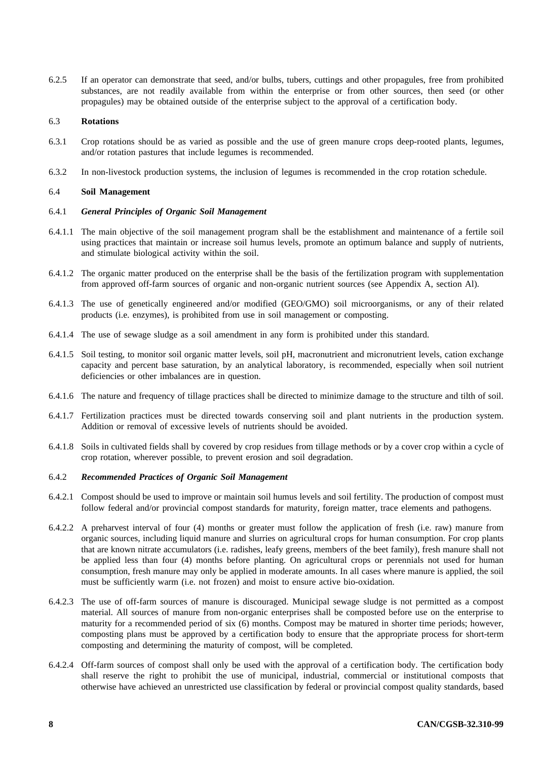6.2.5 If an operator can demonstrate that seed, and/or bulbs, tubers, cuttings and other propagules, free from prohibited substances, are not readily available from within the enterprise or from other sources, then seed (or other propagules) may be obtained outside of the enterprise subject to the approval of a certification body.

## 6.3 **Rotations**

- 6.3.1 Crop rotations should be as varied as possible and the use of green manure crops deep-rooted plants, legumes, and/or rotation pastures that include legumes is recommended.
- 6.3.2 In non-livestock production systems, the inclusion of legumes is recommended in the crop rotation schedule.

## 6.4 **Soil Management**

## 6.4.1 *General Principles of Organic Soil Management*

- 6.4.1.1 The main objective of the soil management program shall be the establishment and maintenance of a fertile soil using practices that maintain or increase soil humus levels, promote an optimum balance and supply of nutrients, and stimulate biological activity within the soil.
- 6.4.1.2 The organic matter produced on the enterprise shall be the basis of the fertilization program with supplementation from approved off-farm sources of organic and non-organic nutrient sources (see Appendix A, section Al).
- 6.4.1.3 The use of genetically engineered and/or modified (GEO/GMO) soil microorganisms, or any of their related products (i.e. enzymes), is prohibited from use in soil management or composting.
- 6.4.1.4 The use of sewage sludge as a soil amendment in any form is prohibited under this standard.
- 6.4.1.5 Soil testing, to monitor soil organic matter levels, soil pH, macronutrient and micronutrient levels, cation exchange capacity and percent base saturation, by an analytical laboratory, is recommended, especially when soil nutrient deficiencies or other imbalances are in question.
- 6.4.1.6 The nature and frequency of tillage practices shall be directed to minimize damage to the structure and tilth of soil.
- 6.4.1.7 Fertilization practices must be directed towards conserving soil and plant nutrients in the production system. Addition or removal of excessive levels of nutrients should be avoided.
- 6.4.1.8 Soils in cultivated fields shall by covered by crop residues from tillage methods or by a cover crop within a cycle of crop rotation, wherever possible, to prevent erosion and soil degradation.

## 6.4.2 *Recommended Practices of Organic Soil Management*

- 6.4.2.1 Compost should be used to improve or maintain soil humus levels and soil fertility. The production of compost must follow federal and/or provincial compost standards for maturity, foreign matter, trace elements and pathogens.
- 6.4.2.2 A preharvest interval of four (4) months or greater must follow the application of fresh (i.e. raw) manure from organic sources, including liquid manure and slurries on agricultural crops for human consumption. For crop plants that are known nitrate accumulators (i.e. radishes, leafy greens, members of the beet family), fresh manure shall not be applied less than four (4) months before planting. On agricultural crops or perennials not used for human consumption, fresh manure may only be applied in moderate amounts. In all cases where manure is applied, the soil must be sufficiently warm (i.e. not frozen) and moist to ensure active bio-oxidation.
- 6.4.2.3 The use of off-farm sources of manure is discouraged. Municipal sewage sludge is not permitted as a compost material. All sources of manure from non-organic enterprises shall be composted before use on the enterprise to maturity for a recommended period of six (6) months. Compost may be matured in shorter time periods; however, composting plans must be approved by a certification body to ensure that the appropriate process for short-term composting and determining the maturity of compost, will be completed.
- 6.4.2.4 Off-farm sources of compost shall only be used with the approval of a certification body. The certification body shall reserve the right to prohibit the use of municipal, industrial, commercial or institutional composts that otherwise have achieved an unrestricted use classification by federal or provincial compost quality standards, based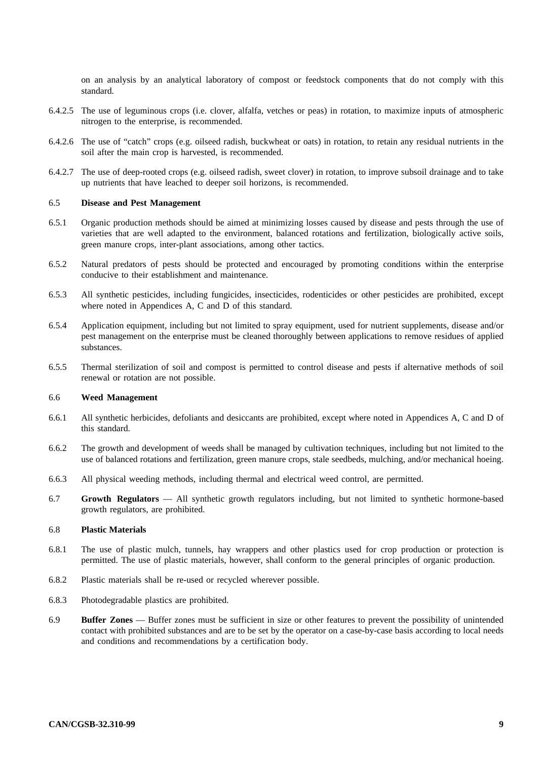on an analysis by an analytical laboratory of compost or feedstock components that do not comply with this standard.

- 6.4.2.5 The use of leguminous crops (i.e. clover, alfalfa, vetches or peas) in rotation, to maximize inputs of atmospheric nitrogen to the enterprise, is recommended.
- 6.4.2.6 The use of "catch" crops (e.g. oilseed radish, buckwheat or oats) in rotation, to retain any residual nutrients in the soil after the main crop is harvested, is recommended.
- 6.4.2.7 The use of deep-rooted crops (e.g. oilseed radish, sweet clover) in rotation, to improve subsoil drainage and to take up nutrients that have leached to deeper soil horizons, is recommended.

## 6.5 **Disease and Pest Management**

- 6.5.1 Organic production methods should be aimed at minimizing losses caused by disease and pests through the use of varieties that are well adapted to the environment, balanced rotations and fertilization, biologically active soils, green manure crops, inter-plant associations, among other tactics.
- 6.5.2 Natural predators of pests should be protected and encouraged by promoting conditions within the enterprise conducive to their establishment and maintenance.
- 6.5.3 All synthetic pesticides, including fungicides, insecticides, rodenticides or other pesticides are prohibited, except where noted in Appendices A, C and D of this standard.
- 6.5.4 Application equipment, including but not limited to spray equipment, used for nutrient supplements, disease and/or pest management on the enterprise must be cleaned thoroughly between applications to remove residues of applied substances.
- 6.5.5 Thermal sterilization of soil and compost is permitted to control disease and pests if alternative methods of soil renewal or rotation are not possible.

#### 6.6 **Weed Management**

- 6.6.1 All synthetic herbicides, defoliants and desiccants are prohibited, except where noted in Appendices A, C and D of this standard.
- 6.6.2 The growth and development of weeds shall be managed by cultivation techniques, including but not limited to the use of balanced rotations and fertilization, green manure crops, stale seedbeds, mulching, and/or mechanical hoeing.
- 6.6.3 All physical weeding methods, including thermal and electrical weed control, are permitted.
- 6.7 **Growth Regulators** All synthetic growth regulators including, but not limited to synthetic hormone-based growth regulators, are prohibited.

### 6.8 **Plastic Materials**

- 6.8.1 The use of plastic mulch, tunnels, hay wrappers and other plastics used for crop production or protection is permitted. The use of plastic materials, however, shall conform to the general principles of organic production.
- 6.8.2 Plastic materials shall be re-used or recycled wherever possible.
- 6.8.3 Photodegradable plastics are prohibited.
- 6.9 **Buffer Zones** Buffer zones must be sufficient in size or other features to prevent the possibility of unintended contact with prohibited substances and are to be set by the operator on a case-by-case basis according to local needs and conditions and recommendations by a certification body.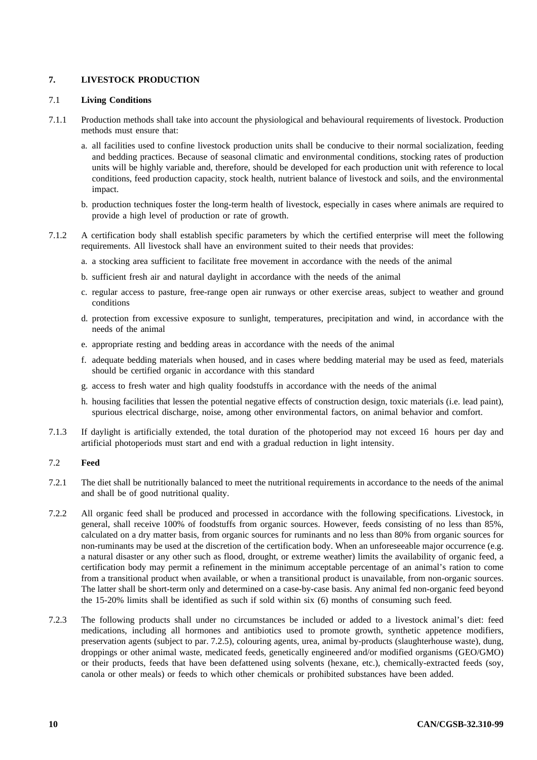## **7. LIVESTOCK PRODUCTION**

## 7.1 **Living Conditions**

- 7.1.1 Production methods shall take into account the physiological and behavioural requirements of livestock. Production methods must ensure that:
	- a. all facilities used to confine livestock production units shall be conducive to their normal socialization, feeding and bedding practices. Because of seasonal climatic and environmental conditions, stocking rates of production units will be highly variable and, therefore, should be developed for each production unit with reference to local conditions, feed production capacity, stock health, nutrient balance of livestock and soils, and the environmental impact.
	- b. production techniques foster the long-term health of livestock, especially in cases where animals are required to provide a high level of production or rate of growth.
- 7.1.2 A certification body shall establish specific parameters by which the certified enterprise will meet the following requirements. All livestock shall have an environment suited to their needs that provides:
	- a. a stocking area sufficient to facilitate free movement in accordance with the needs of the animal
	- b. sufficient fresh air and natural daylight in accordance with the needs of the animal
	- c. regular access to pasture, free-range open air runways or other exercise areas, subject to weather and ground conditions
	- d. protection from excessive exposure to sunlight, temperatures, precipitation and wind, in accordance with the needs of the animal
	- e. appropriate resting and bedding areas in accordance with the needs of the animal
	- f. adequate bedding materials when housed, and in cases where bedding material may be used as feed, materials should be certified organic in accordance with this standard
	- g. access to fresh water and high quality foodstuffs in accordance with the needs of the animal
	- h. housing facilities that lessen the potential negative effects of construction design, toxic materials (i.e. lead paint), spurious electrical discharge, noise, among other environmental factors, on animal behavior and comfort.
- 7.1.3 If daylight is artificially extended, the total duration of the photoperiod may not exceed 16 hours per day and artificial photoperiods must start and end with a gradual reduction in light intensity.

## 7.2 **Feed**

- 7.2.1 The diet shall be nutritionally balanced to meet the nutritional requirements in accordance to the needs of the animal and shall be of good nutritional quality.
- 7.2.2 All organic feed shall be produced and processed in accordance with the following specifications. Livestock, in general, shall receive 100% of foodstuffs from organic sources. However, feeds consisting of no less than 85%, calculated on a dry matter basis, from organic sources for ruminants and no less than 80% from organic sources for non-ruminants may be used at the discretion of the certification body. When an unforeseeable major occurrence (e.g. a natural disaster or any other such as flood, drought, or extreme weather) limits the availability of organic feed, a certification body may permit a refinement in the minimum acceptable percentage of an animal's ration to come from a transitional product when available, or when a transitional product is unavailable, from non-organic sources. The latter shall be short-term only and determined on a case-by-case basis. Any animal fed non-organic feed beyond the 15-20% limits shall be identified as such if sold within six (6) months of consuming such feed*.*
- 7.2.3 The following products shall under no circumstances be included or added to a livestock animal's diet: feed medications, including all hormones and antibiotics used to promote growth, synthetic appetence modifiers, preservation agents (subject to par. 7.2.5), colouring agents, urea, animal by-products (slaughterhouse waste), dung, droppings or other animal waste, medicated feeds, genetically engineered and/or modified organisms (GEO/GMO) or their products, feeds that have been defattened using solvents (hexane, etc.), chemically-extracted feeds (soy, canola or other meals) or feeds to which other chemicals or prohibited substances have been added.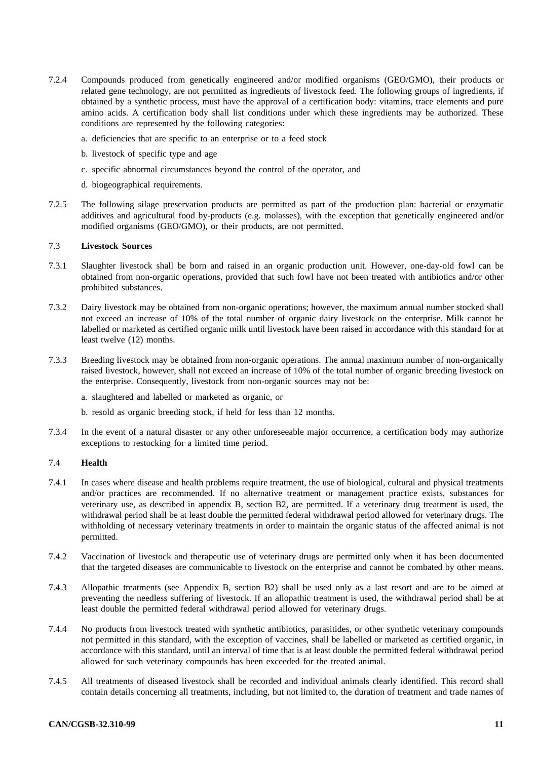- 7.2.4 Compounds produced from genetically engineered and/or modified organisms (GEO/GMO), their products or related gene technology, are not permitted as ingredients of livestock feed. The following groups of ingredients, if obtained by a synthetic process, must have the approval of a certification body: vitamins, trace elements and pure amino acids. A certification body shall list conditions under which these ingredients may be authorized. These conditions are represented by the following categories:
	- a. deficiencies that are specific to an enterprise or to a feed stock
	- b. livestock of specific type and age
	- c. specific abnormal circumstances beyond the control of the operator, and
	- d. biogeographical requirements.
- 7.2.5 The following silage preservation products are permitted as part of the production plan: bacterial or enzymatic additives and agricultural food by-products (e.g. molasses), with the exception that genetically engineered and/or modified organisms (GEO/GMO), or their products, are not permitted.

## 7.3 **Livestock Sources**

- 7.3.1 Slaughter livestock shall be born and raised in an organic production unit. However, one-day-old fowl can be obtained from non-organic operations, provided that such fowl have not been treated with antibiotics and/or other prohibited substances.
- 7.3.2 Dairy livestock may be obtained from non-organic operations; however, the maximum annual number stocked shall not exceed an increase of 10% of the total number of organic dairy livestock on the enterprise. Milk cannot be labelled or marketed as certified organic milk until livestock have been raised in accordance with this standard for at least twelve (12) months.
- 7.3.3 Breeding livestock may be obtained from non-organic operations. The annual maximum number of non-organically raised livestock, however, shall not exceed an increase of 10% of the total number of organic breeding livestock on the enterprise. Consequently, livestock from non-organic sources may not be:

a. slaughtered and labelled or marketed as organic, or

b. resold as organic breeding stock, if held for less than 12 months.

7.3.4 In the event of a natural disaster or any other unforeseeable major occurrence, a certification body may authorize exceptions to restocking for a limited time period.

## 7.4 **Health**

- 7.4.1 In cases where disease and health problems require treatment, the use of biological, cultural and physical treatments and/or practices are recommended. If no alternative treatment or management practice exists, substances for veterinary use, as described in appendix B, section B2, are permitted. If a veterinary drug treatment is used, the withdrawal period shall be at least double the permitted federal withdrawal period allowed for veterinary drugs. The withholding of necessary veterinary treatments in order to maintain the organic status of the affected animal is not permitted.
- 7.4.2 Vaccination of livestock and therapeutic use of veterinary drugs are permitted only when it has been documented that the targeted diseases are communicable to livestock on the enterprise and cannot be combated by other means.
- 7.4.3 Allopathic treatments (see Appendix B, section B2) shall be used only as a last resort and are to be aimed at preventing the needless suffering of livestock. If an allopathic treatment is used, the withdrawal period shall be at least double the permitted federal withdrawal period allowed for veterinary drugs.
- 7.4.4 No products from livestock treated with synthetic antibiotics, parasitides, or other synthetic veterinary compounds not permitted in this standard, with the exception of vaccines, shall be labelled or marketed as certified organic, in accordance with this standard, until an interval of time that is at least double the permitted federal withdrawal period allowed for such veterinary compounds has been exceeded for the treated animal.
- 7.4.5 All treatments of diseased livestock shall be recorded and individual animals clearly identified. This record shall contain details concerning all treatments, including, but not limited to, the duration of treatment and trade names of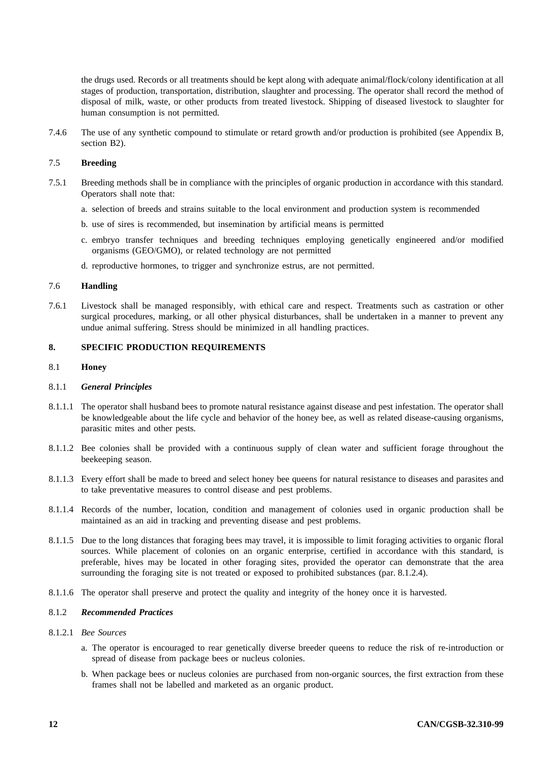the drugs used. Records or all treatments should be kept along with adequate animal/flock/colony identification at all stages of production, transportation, distribution, slaughter and processing. The operator shall record the method of disposal of milk, waste, or other products from treated livestock. Shipping of diseased livestock to slaughter for human consumption is not permitted.

7.4.6 The use of any synthetic compound to stimulate or retard growth and/or production is prohibited (see Appendix B, section B2).

## 7.5 **Breeding**

- 7.5.1 Breeding methods shall be in compliance with the principles of organic production in accordance with this standard. Operators shall note that:
	- a. selection of breeds and strains suitable to the local environment and production system is recommended
	- b. use of sires is recommended, but insemination by artificial means is permitted
	- c. embryo transfer techniques and breeding techniques employing genetically engineered and/or modified organisms (GEO/GMO), or related technology are not permitted
	- d. reproductive hormones, to trigger and synchronize estrus, are not permitted.

#### 7.6 **Handling**

7.6.1 Livestock shall be managed responsibly, with ethical care and respect. Treatments such as castration or other surgical procedures, marking, or all other physical disturbances, shall be undertaken in a manner to prevent any undue animal suffering. Stress should be minimized in all handling practices.

## **8. SPECIFIC PRODUCTION REQUIREMENTS**

#### 8.1 **Honey**

#### 8.1.1 *General Principles*

- 8.1.1.1 The operator shall husband bees to promote natural resistance against disease and pest infestation. The operator shall be knowledgeable about the life cycle and behavior of the honey bee, as well as related disease-causing organisms, parasitic mites and other pests.
- 8.1.1.2 Bee colonies shall be provided with a continuous supply of clean water and sufficient forage throughout the beekeeping season.
- 8.1.1.3 Every effort shall be made to breed and select honey bee queens for natural resistance to diseases and parasites and to take preventative measures to control disease and pest problems.
- 8.1.1.4 Records of the number, location, condition and management of colonies used in organic production shall be maintained as an aid in tracking and preventing disease and pest problems.
- 8.1.1.5 Due to the long distances that foraging bees may travel, it is impossible to limit foraging activities to organic floral sources. While placement of colonies on an organic enterprise, certified in accordance with this standard, is preferable, hives may be located in other foraging sites, provided the operator can demonstrate that the area surrounding the foraging site is not treated or exposed to prohibited substances (par. 8.1.2.4).
- 8.1.1.6 The operator shall preserve and protect the quality and integrity of the honey once it is harvested.

#### 8.1.2 *Recommended Practices*

- 8.1.2.1 *Bee Sources* 
	- a. The operator is encouraged to rear genetically diverse breeder queens to reduce the risk of re-introduction or spread of disease from package bees or nucleus colonies.
	- b. When package bees or nucleus colonies are purchased from non-organic sources, the first extraction from these frames shall not be labelled and marketed as an organic product.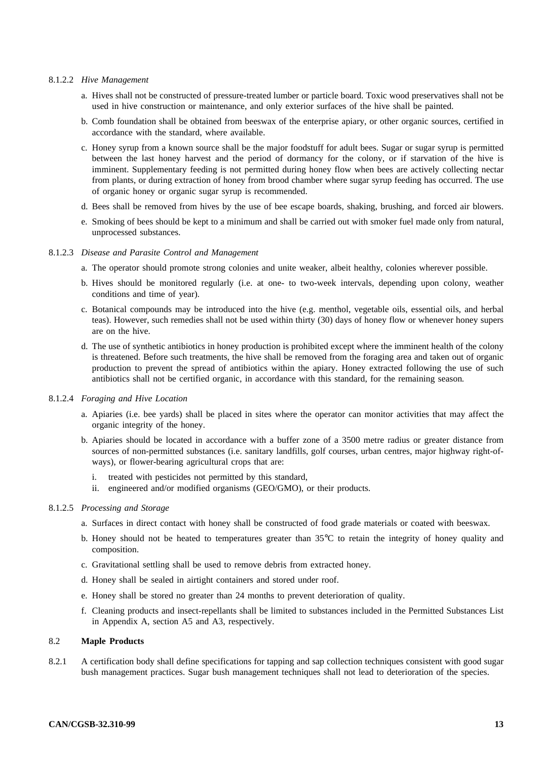## 8.1.2.2 *Hive Management*

- a. Hives shall not be constructed of pressure-treated lumber or particle board. Toxic wood preservatives shall not be used in hive construction or maintenance, and only exterior surfaces of the hive shall be painted.
- b. Comb foundation shall be obtained from beeswax of the enterprise apiary, or other organic sources, certified in accordance with the standard, where available.
- c. Honey syrup from a known source shall be the major foodstuff for adult bees. Sugar or sugar syrup is permitted between the last honey harvest and the period of dormancy for the colony, or if starvation of the hive is imminent. Supplementary feeding is not permitted during honey flow when bees are actively collecting nectar from plants, or during extraction of honey from brood chamber where sugar syrup feeding has occurred. The use of organic honey or organic sugar syrup is recommended.
- d. Bees shall be removed from hives by the use of bee escape boards, shaking, brushing, and forced air blowers.
- e. Smoking of bees should be kept to a minimum and shall be carried out with smoker fuel made only from natural, unprocessed substances.

## 8.1.2.3 *Disease and Parasite Control and Management*

- a. The operator should promote strong colonies and unite weaker, albeit healthy, colonies wherever possible.
- b. Hives should be monitored regularly (i.e. at one- to two-week intervals, depending upon colony, weather conditions and time of year).
- c. Botanical compounds may be introduced into the hive (e.g. menthol, vegetable oils, essential oils, and herbal teas). However, such remedies shall not be used within thirty (30) days of honey flow or whenever honey supers are on the hive.
- d. The use of synthetic antibiotics in honey production is prohibited except where the imminent health of the colony is threatened. Before such treatments, the hive shall be removed from the foraging area and taken out of organic production to prevent the spread of antibiotics within the apiary. Honey extracted following the use of such antibiotics shall not be certified organic, in accordance with this standard, for the remaining season*.*

## 8.1.2.4 *Foraging and Hive Location*

- a. Apiaries (i.e. bee yards) shall be placed in sites where the operator can monitor activities that may affect the organic integrity of the honey.
- b. Apiaries should be located in accordance with a buffer zone of a 3500 metre radius or greater distance from sources of non-permitted substances (i.e. sanitary landfills, golf courses, urban centres, major highway right-ofways), or flower-bearing agricultural crops that are:
	- i. treated with pesticides not permitted by this standard,
	- ii. engineered and/or modified organisms (GEO/GMO), or their products.

## 8.1.2.5 *Processing and Storage*

- a. Surfaces in direct contact with honey shall be constructed of food grade materials or coated with beeswax.
- b. Honey should not be heated to temperatures greater than 35°C to retain the integrity of honey quality and composition.
- c. Gravitational settling shall be used to remove debris from extracted honey.
- d. Honey shall be sealed in airtight containers and stored under roof.
- e. Honey shall be stored no greater than 24 months to prevent deterioration of quality.
- f. Cleaning products and insect-repellants shall be limited to substances included in the Permitted Substances List in Appendix A, section A5 and A3, respectively.

## 8.2 **Maple Products**

8.2.1 A certification body shall define specifications for tapping and sap collection techniques consistent with good sugar bush management practices. Sugar bush management techniques shall not lead to deterioration of the species.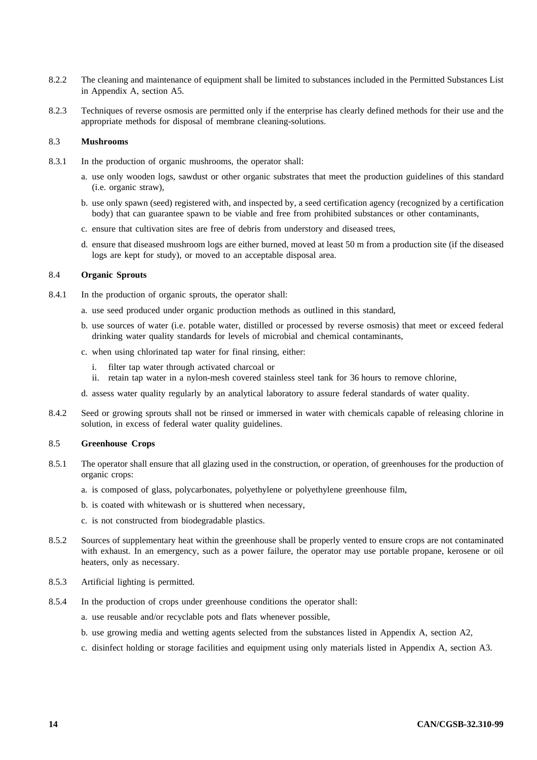- 8.2.2 The cleaning and maintenance of equipment shall be limited to substances included in the Permitted Substances List in Appendix A, section A5.
- 8.2.3 Techniques of reverse osmosis are permitted only if the enterprise has clearly defined methods for their use and the appropriate methods for disposal of membrane cleaning-solutions.

## 8.3 **Mushrooms**

- 8.3.1 In the production of organic mushrooms, the operator shall:
	- a. use only wooden logs, sawdust or other organic substrates that meet the production guidelines of this standard (i.e. organic straw),
	- b. use only spawn (seed) registered with, and inspected by, a seed certification agency (recognized by a certification body) that can guarantee spawn to be viable and free from prohibited substances or other contaminants,
	- c. ensure that cultivation sites are free of debris from understory and diseased trees,
	- d. ensure that diseased mushroom logs are either burned, moved at least 50 m from a production site (if the diseased logs are kept for study), or moved to an acceptable disposal area.

## 8.4 **Organic Sprouts**

- 8.4.1 In the production of organic sprouts, the operator shall:
	- a. use seed produced under organic production methods as outlined in this standard,
	- b. use sources of water (i.e. potable water, distilled or processed by reverse osmosis) that meet or exceed federal drinking water quality standards for levels of microbial and chemical contaminants,
	- c. when using chlorinated tap water for final rinsing, either:
		- i. filter tap water through activated charcoal or
		- ii. retain tap water in a nylon-mesh covered stainless steel tank for 36 hours to remove chlorine,
	- d. assess water quality regularly by an analytical laboratory to assure federal standards of water quality.
- 8.4.2 Seed or growing sprouts shall not be rinsed or immersed in water with chemicals capable of releasing chlorine in solution, in excess of federal water quality guidelines.

## 8.5 **Greenhouse Crops**

- 8.5.1 The operator shall ensure that all glazing used in the construction, or operation, of greenhouses for the production of organic crops:
	- a. is composed of glass, polycarbonates, polyethylene or polyethylene greenhouse film,
	- b. is coated with whitewash or is shuttered when necessary,
	- c. is not constructed from biodegradable plastics.
- 8.5.2 Sources of supplementary heat within the greenhouse shall be properly vented to ensure crops are not contaminated with exhaust. In an emergency, such as a power failure, the operator may use portable propane, kerosene or oil heaters, only as necessary.
- 8.5.3 Artificial lighting is permitted.
- 8.5.4 In the production of crops under greenhouse conditions the operator shall:
	- a. use reusable and/or recyclable pots and flats whenever possible,
	- b. use growing media and wetting agents selected from the substances listed in Appendix A, section A2,
	- c. disinfect holding or storage facilities and equipment using only materials listed in Appendix A, section A3.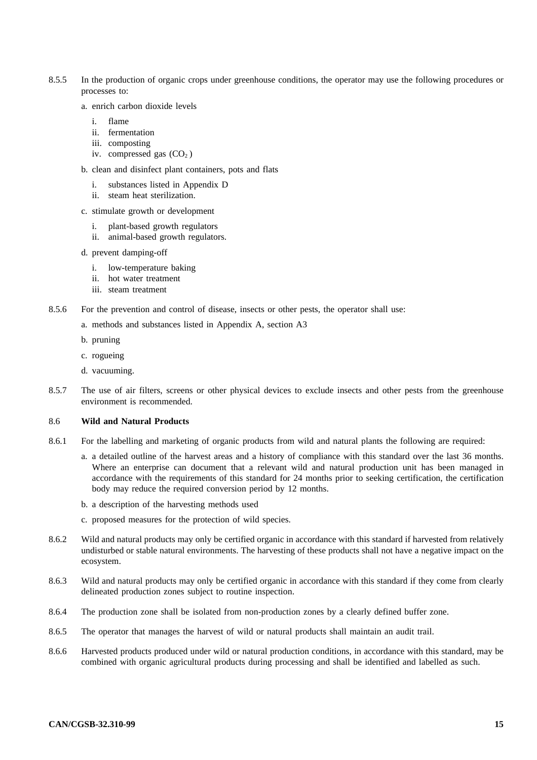- 8.5.5 In the production of organic crops under greenhouse conditions, the operator may use the following procedures or processes to:
	- a. enrich carbon dioxide levels
		- i. flame
		- ii. fermentation
		- iii. composting
		- iv. compressed gas  $(CO<sub>2</sub>)$
	- b. clean and disinfect plant containers, pots and flats
		- i. substances listed in Appendix D
		- ii. steam heat sterilization.
	- c. stimulate growth or development
		- i. plant-based growth regulators
		- ii. animal-based growth regulators.
	- d. prevent damping-off
		- i. low-temperature baking
		- ii. hot water treatment
		- iii. steam treatment
- 8.5.6 For the prevention and control of disease, insects or other pests, the operator shall use:
	- a. methods and substances listed in Appendix A, section A3
	- b. pruning
	- c. rogueing
	- d. vacuuming.
- 8.5.7 The use of air filters, screens or other physical devices to exclude insects and other pests from the greenhouse environment is recommended.

## 8.6 **Wild and Natural Products**

- 8.6.1 For the labelling and marketing of organic products from wild and natural plants the following are required:
	- a. a detailed outline of the harvest areas and a history of compliance with this standard over the last 36 months. Where an enterprise can document that a relevant wild and natural production unit has been managed in accordance with the requirements of this standard for 24 months prior to seeking certification, the certification body may reduce the required conversion period by 12 months.
	- b. a description of the harvesting methods used
	- c. proposed measures for the protection of wild species.
- 8.6.2 Wild and natural products may only be certified organic in accordance with this standard if harvested from relatively undisturbed or stable natural environments. The harvesting of these products shall not have a negative impact on the ecosystem.
- 8.6.3 Wild and natural products may only be certified organic in accordance with this standard if they come from clearly delineated production zones subject to routine inspection.
- 8.6.4 The production zone shall be isolated from non-production zones by a clearly defined buffer zone.
- 8.6.5 The operator that manages the harvest of wild or natural products shall maintain an audit trail.
- 8.6.6 Harvested products produced under wild or natural production conditions, in accordance with this standard, may be combined with organic agricultural products during processing and shall be identified and labelled as such.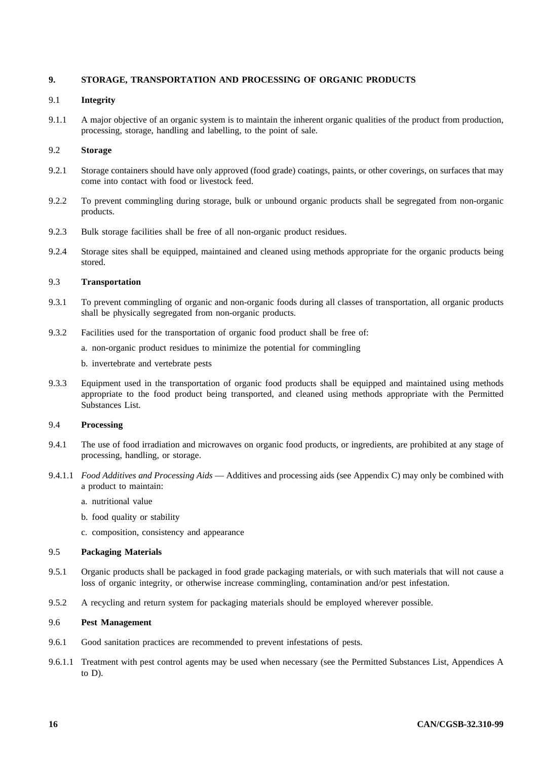## **9. STORAGE, TRANSPORTATION AND PROCESSING OF ORGANIC PRODUCTS**

## 9.1 **Integrity**

9.1.1 A major objective of an organic system is to maintain the inherent organic qualities of the product from production, processing, storage, handling and labelling, to the point of sale.

## 9.2 **Storage**

- 9.2.1 Storage containers should have only approved (food grade) coatings, paints, or other coverings, on surfaces that may come into contact with food or livestock feed.
- 9.2.2 To prevent commingling during storage, bulk or unbound organic products shall be segregated from non-organic products.
- 9.2.3 Bulk storage facilities shall be free of all non-organic product residues.
- 9.2.4 Storage sites shall be equipped, maintained and cleaned using methods appropriate for the organic products being stored.

## 9.3 **Transportation**

- 9.3.1 To prevent commingling of organic and non-organic foods during all classes of transportation, all organic products shall be physically segregated from non-organic products.
- 9.3.2 Facilities used for the transportation of organic food product shall be free of:
	- a. non-organic product residues to minimize the potential for commingling
	- b. invertebrate and vertebrate pests
- 9.3.3 Equipment used in the transportation of organic food products shall be equipped and maintained using methods appropriate to the food product being transported, and cleaned using methods appropriate with the Permitted Substances List.

## 9.4 **Processing**

- 9.4.1 The use of food irradiation and microwaves on organic food products, or ingredients, are prohibited at any stage of processing, handling, or storage.
- 9.4.1.1 *Food Additives and Processing Aids* Additives and processing aids (see Appendix C) may only be combined with a product to maintain:
	- a. nutritional value
	- b. food quality or stability
	- c. composition, consistency and appearance

## 9.5 **Packaging Materials**

- 9.5.1 Organic products shall be packaged in food grade packaging materials, or with such materials that will not cause a loss of organic integrity, or otherwise increase commingling, contamination and/or pest infestation.
- 9.5.2 A recycling and return system for packaging materials should be employed wherever possible.

## 9.6 **Pest Management**

- 9.6.1 Good sanitation practices are recommended to prevent infestations of pests.
- 9.6.1.1 Treatment with pest control agents may be used when necessary (see the Permitted Substances List, Appendices A to D).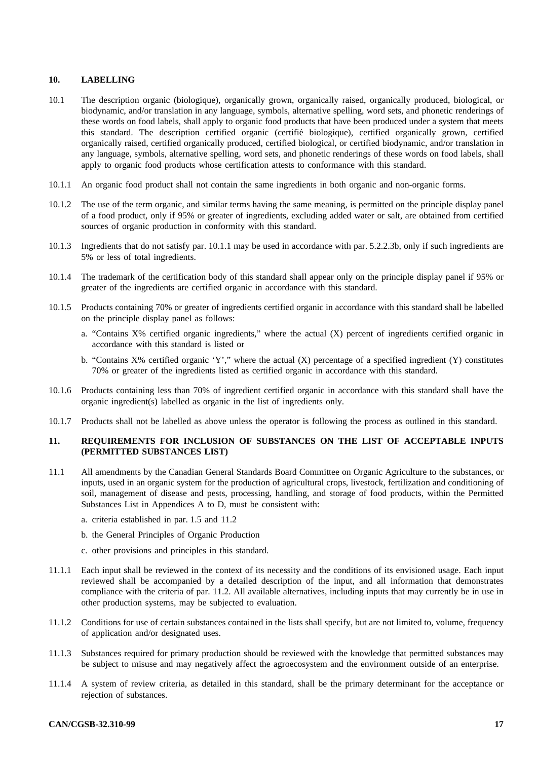## **10. LABELLING**

- 10.1 The description organic (biologique), organically grown, organically raised, organically produced, biological, or biodynamic, and/or translation in any language, symbols, alternative spelling, word sets, and phonetic renderings of these words on food labels, shall apply to organic food products that have been produced under a system that meets this standard. The description certified organic (certifie biologique), certified organically grown, certified ´ organically raised, certified organically produced, certified biological, or certified biodynamic, and/or translation in any language, symbols, alternative spelling, word sets, and phonetic renderings of these words on food labels, shall apply to organic food products whose certification attests to conformance with this standard.
- 10.1.1 An organic food product shall not contain the same ingredients in both organic and non-organic forms.
- 10.1.2 The use of the term organic, and similar terms having the same meaning, is permitted on the principle display panel of a food product, only if 95% or greater of ingredients, excluding added water or salt, are obtained from certified sources of organic production in conformity with this standard.
- 10.1.3 Ingredients that do not satisfy par. 10.1.1 may be used in accordance with par. 5.2.2.3b, only if such ingredients are 5% or less of total ingredients.
- 10.1.4 The trademark of the certification body of this standard shall appear only on the principle display panel if 95% or greater of the ingredients are certified organic in accordance with this standard.
- 10.1.5 Products containing 70% or greater of ingredients certified organic in accordance with this standard shall be labelled on the principle display panel as follows:
	- a. "Contains X% certified organic ingredients," where the actual (X) percent of ingredients certified organic in accordance with this standard is listed or
	- b. "Contains X% certified organic 'Y'," where the actual (X) percentage of a specified ingredient (Y) constitutes 70% or greater of the ingredients listed as certified organic in accordance with this standard.
- 10.1.6 Products containing less than 70% of ingredient certified organic in accordance with this standard shall have the organic ingredient(s) labelled as organic in the list of ingredients only.
- 10.1.7 Products shall not be labelled as above unless the operator is following the process as outlined in this standard.

## **11. REQUIREMENTS FOR INCLUSION OF SUBSTANCES ON THE LIST OF ACCEPTABLE INPUTS (PERMITTED SUBSTANCES LIST)**

- 11.1 All amendments by the Canadian General Standards Board Committee on Organic Agriculture to the substances, or inputs, used in an organic system for the production of agricultural crops, livestock, fertilization and conditioning of soil, management of disease and pests, processing, handling, and storage of food products, within the Permitted Substances List in Appendices A to D, must be consistent with:
	- a. criteria established in par. 1.5 and 11.2
	- b. the General Principles of Organic Production
	- c. other provisions and principles in this standard.
- 11.1.1 Each input shall be reviewed in the context of its necessity and the conditions of its envisioned usage. Each input reviewed shall be accompanied by a detailed description of the input, and all information that demonstrates compliance with the criteria of par. 11.2. All available alternatives, including inputs that may currently be in use in other production systems, may be subjected to evaluation.
- 11.1.2 Conditions for use of certain substances contained in the lists shall specify, but are not limited to, volume, frequency of application and/or designated uses.
- 11.1.3 Substances required for primary production should be reviewed with the knowledge that permitted substances may be subject to misuse and may negatively affect the agroecosystem and the environment outside of an enterprise.
- 11.1.4 A system of review criteria, as detailed in this standard, shall be the primary determinant for the acceptance or rejection of substances.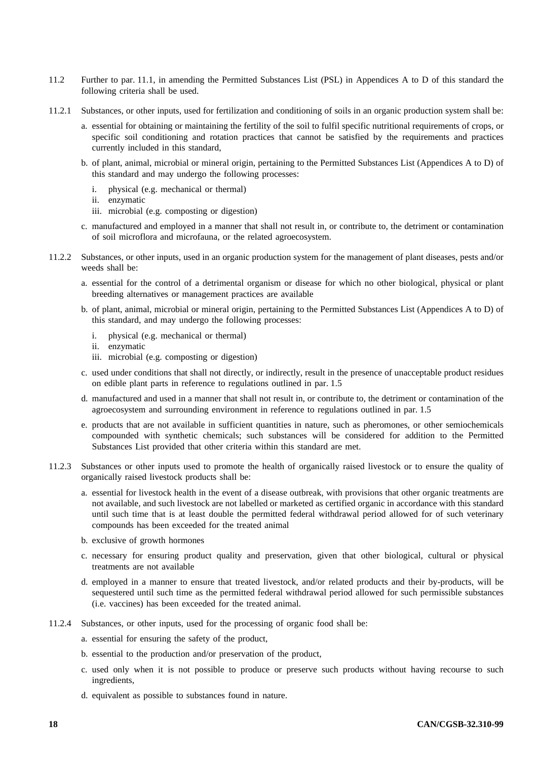- 11.2 Further to par. 11.1, in amending the Permitted Substances List (PSL) in Appendices A to D of this standard the following criteria shall be used.
- 11.2.1 Substances, or other inputs, used for fertilization and conditioning of soils in an organic production system shall be:
	- a. essential for obtaining or maintaining the fertility of the soil to fulfil specific nutritional requirements of crops, or specific soil conditioning and rotation practices that cannot be satisfied by the requirements and practices currently included in this standard,
	- b. of plant, animal, microbial or mineral origin, pertaining to the Permitted Substances List (Appendices A to D) of this standard and may undergo the following processes:
		- i. physical (e.g. mechanical or thermal)
		- ii. enzymatic
		- iii. microbial (e.g. composting or digestion)
	- c. manufactured and employed in a manner that shall not result in, or contribute to, the detriment or contamination of soil microflora and microfauna, or the related agroecosystem.
- 11.2.2 Substances, or other inputs, used in an organic production system for the management of plant diseases, pests and/or weeds shall be:
	- a. essential for the control of a detrimental organism or disease for which no other biological, physical or plant breeding alternatives or management practices are available
	- b. of plant, animal, microbial or mineral origin, pertaining to the Permitted Substances List (Appendices A to D) of this standard, and may undergo the following processes:
		- i. physical (e.g. mechanical or thermal)
		- ii. enzymatic
		- iii. microbial (e.g. composting or digestion)
	- c. used under conditions that shall not directly, or indirectly, result in the presence of unacceptable product residues on edible plant parts in reference to regulations outlined in par. 1.5
	- d. manufactured and used in a manner that shall not result in, or contribute to, the detriment or contamination of the agroecosystem and surrounding environment in reference to regulations outlined in par. 1.5
	- e. products that are not available in sufficient quantities in nature, such as pheromones, or other semiochemicals compounded with synthetic chemicals; such substances will be considered for addition to the Permitted Substances List provided that other criteria within this standard are met.
- 11.2.3 Substances or other inputs used to promote the health of organically raised livestock or to ensure the quality of organically raised livestock products shall be:
	- a. essential for livestock health in the event of a disease outbreak, with provisions that other organic treatments are not available, and such livestock are not labelled or marketed as certified organic in accordance with this standard until such time that is at least double the permitted federal withdrawal period allowed for of such veterinary compounds has been exceeded for the treated animal
	- b. exclusive of growth hormones
	- c. necessary for ensuring product quality and preservation, given that other biological, cultural or physical treatments are not available
	- d. employed in a manner to ensure that treated livestock, and/or related products and their by-products, will be sequestered until such time as the permitted federal withdrawal period allowed for such permissible substances (i.e. vaccines) has been exceeded for the treated animal.
- 11.2.4 Substances, or other inputs, used for the processing of organic food shall be:
	- a. essential for ensuring the safety of the product,
	- b. essential to the production and/or preservation of the product,
	- c. used only when it is not possible to produce or preserve such products without having recourse to such ingredients,
	- d. equivalent as possible to substances found in nature.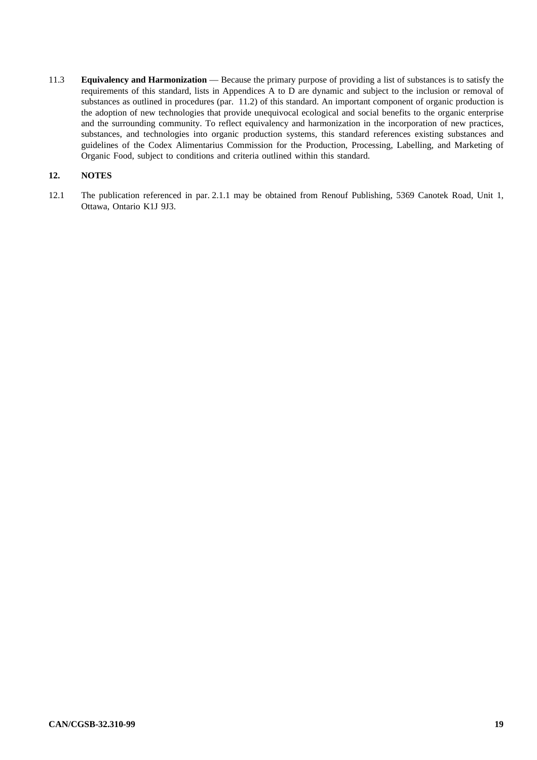11.3 **Equivalency and Harmonization** — Because the primary purpose of providing a list of substances is to satisfy the requirements of this standard, lists in Appendices A to D are dynamic and subject to the inclusion or removal of substances as outlined in procedures (par. 11.2) of this standard. An important component of organic production is the adoption of new technologies that provide unequivocal ecological and social benefits to the organic enterprise and the surrounding community. To reflect equivalency and harmonization in the incorporation of new practices, substances, and technologies into organic production systems, this standard references existing substances and guidelines of the Codex Alimentarius Commission for the Production, Processing, Labelling, and Marketing of Organic Food, subject to conditions and criteria outlined within this standard.

## **12. NOTES**

12.1 The publication referenced in par. 2.1.1 may be obtained from Renouf Publishing, 5369 Canotek Road, Unit 1, Ottawa, Ontario K1J 9J3.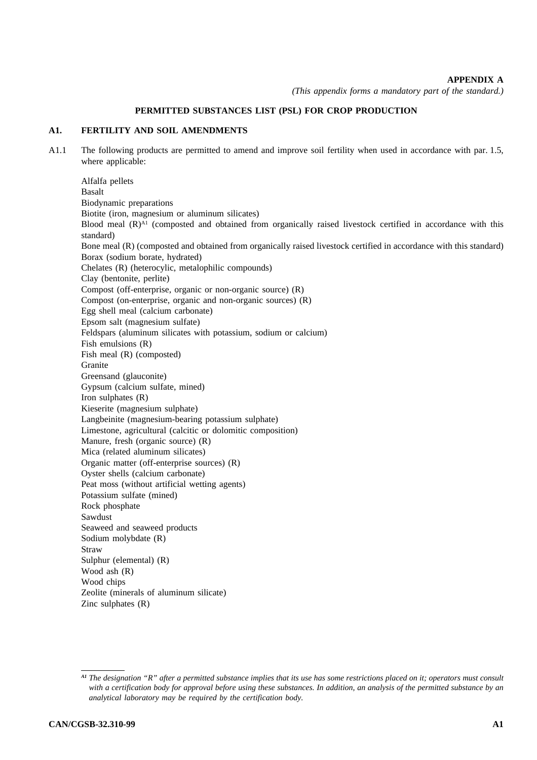## **APPENDIX A**

*(This appendix forms a mandatory part of the standard.)* 

## **PERMITTED SUBSTANCES LIST (PSL) FOR CROP PRODUCTION**

## **A1. FERTILITY AND SOIL AMENDMENTS**

A1.1 The following products are permitted to amend and improve soil fertility when used in accordance with par. 1.5, where applicable:

Alfalfa pellets Basalt Biodynamic preparations Biotite (iron, magnesium or aluminum silicates) Blood meal  $(R)$ <sup>A1</sup> (composted and obtained from organically raised livestock certified in accordance with this standard) Bone meal (R) (composted and obtained from organically raised livestock certified in accordance with this standard) Borax (sodium borate, hydrated) Chelates (R) (heterocylic, metalophilic compounds) Clay (bentonite, perlite) Compost (off-enterprise, organic or non-organic source) (R) Compost (on-enterprise, organic and non-organic sources) (R) Egg shell meal (calcium carbonate) Epsom salt (magnesium sulfate) Feldspars (aluminum silicates with potassium, sodium or calcium) Fish emulsions (R) Fish meal (R) (composted) Granite Greensand (glauconite) Gypsum (calcium sulfate, mined) Iron sulphates (R) Kieserite (magnesium sulphate) Langbeinite (magnesium-bearing potassium sulphate) Limestone, agricultural (calcitic or dolomitic composition) Manure, fresh (organic source) (R) Mica (related aluminum silicates) Organic matter (off-enterprise sources) (R) Oyster shells (calcium carbonate) Peat moss (without artificial wetting agents) Potassium sulfate (mined) Rock phosphate Sawdust Seaweed and seaweed products Sodium molybdate (R) Straw Sulphur (elemental) (R) Wood ash  $(R)$ Wood chips Zeolite (minerals of aluminum silicate) Zinc sulphates (R)

*A1 The designation "R" after a permitted substance implies that its use has some restrictions placed on it; operators must consult with a certification body for approval before using these substances. In addition, an analysis of the permitted substance by an analytical laboratory may be required by the certification body.*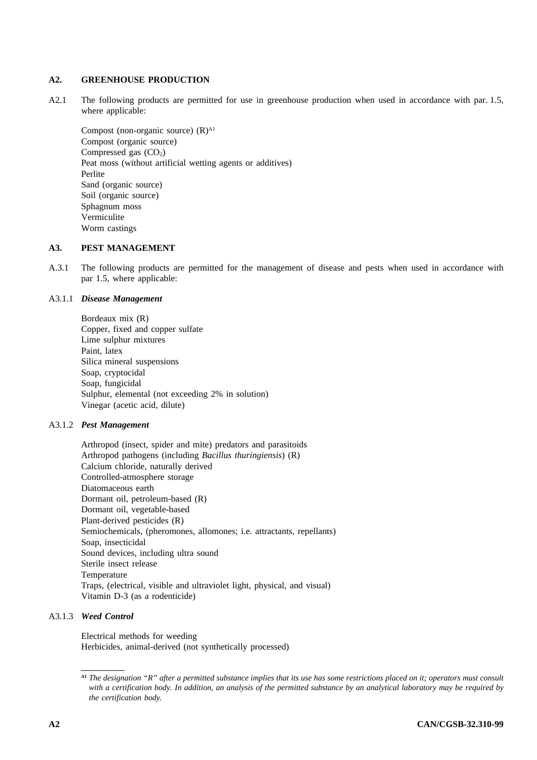## **A2. GREENHOUSE PRODUCTION**

A2.1 The following products are permitted for use in greenhouse production when used in accordance with par. 1.5, where applicable:

Compost (non-organic source)  $(R)$ <sup>A1</sup> Compost (organic source) Compressed gas  $(CO<sub>2</sub>)$ Peat moss (without artificial wetting agents or additives) Perlite Sand (organic source) Soil (organic source) Sphagnum moss Vermiculite Worm castings

## **A3. PEST MANAGEMENT**

A.3.1 The following products are permitted for the management of disease and pests when used in accordance with par 1.5, where applicable:

## A3.1.1 *Disease Management*

Bordeaux mix (R) Copper, fixed and copper sulfate Lime sulphur mixtures Paint, latex Silica mineral suspensions Soap, cryptocidal Soap, fungicidal Sulphur, elemental (not exceeding 2% in solution) Vinegar (acetic acid, dilute)

## A3.1.2 *Pest Management*

Arthropod (insect, spider and mite) predators and parasitoids Arthropod pathogens (including *Bacillus thuringiensis*) (R) Calcium chloride, naturally derived Controlled-atmosphere storage Diatomaceous earth Dormant oil, petroleum-based (R) Dormant oil, vegetable-based Plant-derived pesticides (R) Semiochemicals, (pheromones, allomones; i.e. attractants, repellants) Soap, insecticidal Sound devices, including ultra sound Sterile insect release Temperature Traps, (electrical, visible and ultraviolet light, physical, and visual) Vitamin D-3 (as a rodenticide)

## A3.1.3 *Weed Control*

Electrical methods for weeding Herbicides, animal-derived (not synthetically processed)

*A1 The designation "R" after a permitted substance implies that its use has some restrictions placed on it; operators must consult with a certification body. In addition, an analysis of the permitted substance by an analytical laboratory may be required by the certification body.*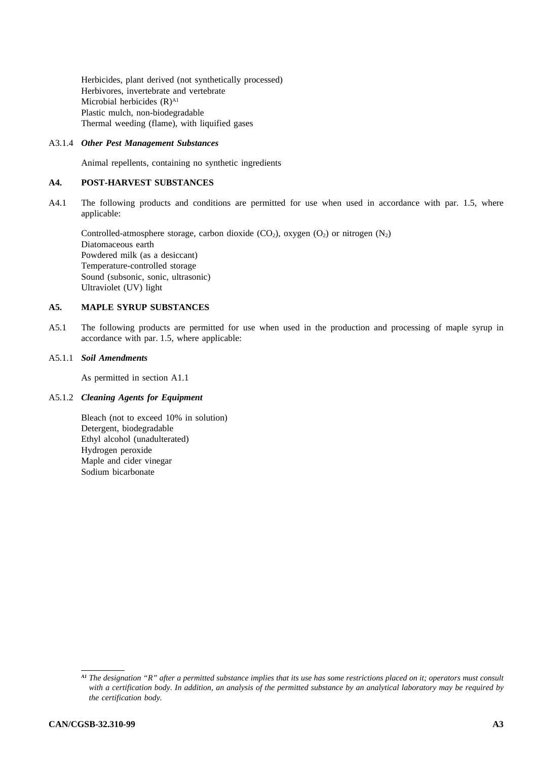Herbicides, plant derived (not synthetically processed) Herbivores, invertebrate and vertebrate Microbial herbicides (R)<sup>A1</sup> Plastic mulch, non-biodegradable Thermal weeding (flame), with liquified gases

## A3.1.4 *Other Pest Management Substances*

Animal repellents, containing no synthetic ingredients

## **A4. POST-HARVEST SUBSTANCES**

A4.1 The following products and conditions are permitted for use when used in accordance with par. 1.5, where applicable:

Controlled-atmosphere storage, carbon dioxide  $(CO_2)$ , oxygen  $(O_2)$  or nitrogen  $(N_2)$ Diatomaceous earth Powdered milk (as a desiccant) Temperature-controlled storage Sound (subsonic, sonic, ultrasonic) Ultraviolet (UV) light

## **A5. MAPLE SYRUP SUBSTANCES**

A5.1 The following products are permitted for use when used in the production and processing of maple syrup in accordance with par. 1.5, where applicable:

## A5.1.1 *Soil Amendments*

As permitted in section A1.1

## A5.1.2 *Cleaning Agents for Equipment*

Bleach (not to exceed 10% in solution) Detergent, biodegradable Ethyl alcohol (unadulterated) Hydrogen peroxide Maple and cider vinegar Sodium bicarbonate

*A1 The designation "R" after a permitted substance implies that its use has some restrictions placed on it; operators must consult with a certification body. In addition, an analysis of the permitted substance by an analytical laboratory may be required by the certification body.*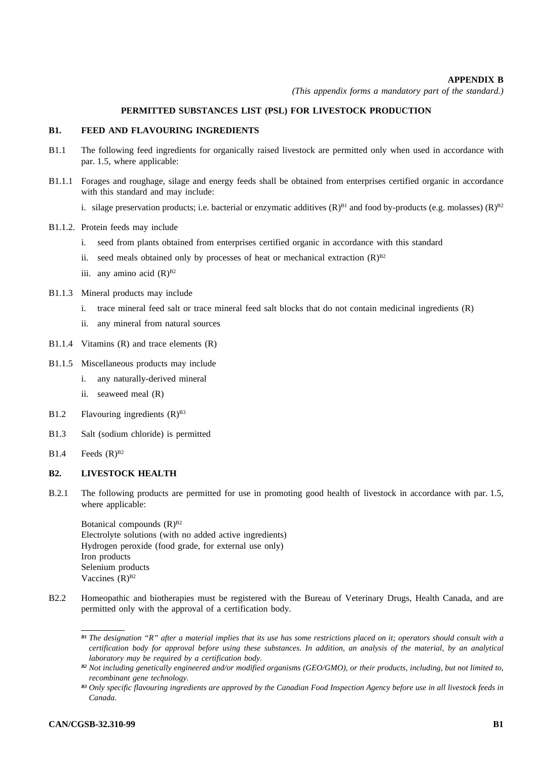## **APPENDIX B**

*(This appendix forms a mandatory part of the standard.)* 

## **PERMITTED SUBSTANCES LIST (PSL) FOR LIVESTOCK PRODUCTION**

## **B1. FEED AND FLAVOURING INGREDIENTS**

- B1.1 The following feed ingredients for organically raised livestock are permitted only when used in accordance with par. 1.5, where applicable:
- B1.1.1 Forages and roughage, silage and energy feeds shall be obtained from enterprises certified organic in accordance with this standard and may include:
	- i. silage preservation products; i.e. bacterial or enzymatic additives  $(R)^{B1}$  and food by-products (e.g. molasses)  $(R)^{B2}$
- B1.1.2. Protein feeds may include
	- i. seed from plants obtained from enterprises certified organic in accordance with this standard
	- ii. seed meals obtained only by processes of heat or mechanical extraction  $(R)^{B2}$
	- iii. any amino acid  $(R)^{B2}$
- B1.1.3 Mineral products may include
	- i. trace mineral feed salt or trace mineral feed salt blocks that do not contain medicinal ingredients (R)
	- ii. any mineral from natural sources
- B1.1.4 Vitamins (R) and trace elements (R)
- B1.1.5 Miscellaneous products may include
	- i. any naturally-derived mineral
	- ii. seaweed meal (R)
- B1.2 Flavouring ingredients  $(R)^{B3}$
- B1.3 Salt (sodium chloride) is permitted
- $B1.4$  Feeds  $(R)^{B2}$

## **B2.** LIVESTOCK HEALTH

B.2.1 The following products are permitted for use in promoting good health of livestock in accordance with par. 1.5, where applicable:

Botanical compounds  $(R)^{B2}$ Electrolyte solutions (with no added active ingredients) Hydrogen peroxide (food grade, for external use only) Iron products Selenium products Vaccines  $(R)^{B2}$ 

B2.2 Homeopathic and biotherapies must be registered with the Bureau of Veterinary Drugs, Health Canada, and are permitted only with the approval of a certification body.

*B1 The designation "R" after a material implies that its use has some restrictions placed on it; operators should consult with a certification body for approval before using these substances. In addition, an analysis of the material, by an analytical laboratory may be required by a certification body.* 

*B2 Not including genetically engineered and/or modified organisms (GEO/GMO), or their products, including, but not limited to, recombinant gene technology.* 

*B3 Only specific flavouring ingredients are approved by the Canadian Food Inspection Agency before use in all livestock feeds in Canada.*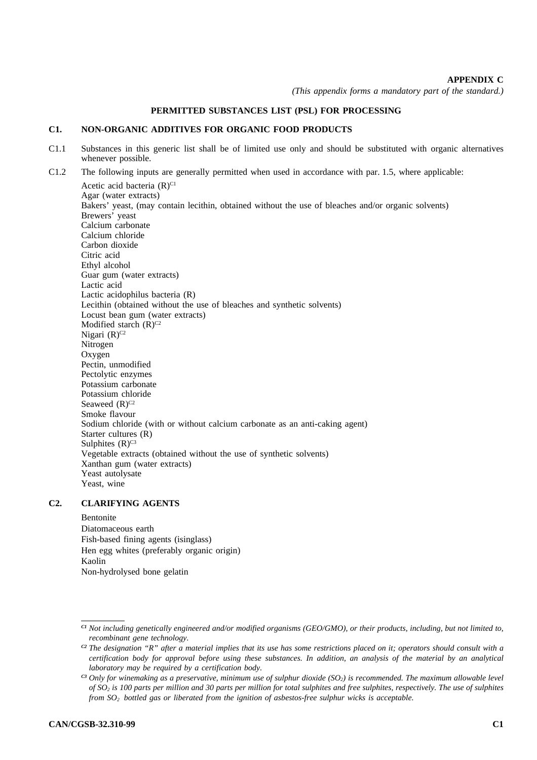## **APPENDIX C**

*(This appendix forms a mandatory part of the standard.)* 

## **PERMITTED SUBSTANCES LIST (PSL) FOR PROCESSING**

#### **C1. NON-ORGANIC ADDITIVES FOR ORGANIC FOOD PRODUCTS**

- C1.1 Substances in this generic list shall be of limited use only and should be substituted with organic alternatives whenever possible.
- C1.2 The following inputs are generally permitted when used in accordance with par. 1.5, where applicable:

Acetic acid bacteria  $(R)^{C1}$ Agar (water extracts) Bakers' yeast, (may contain lecithin, obtained without the use of bleaches and/or organic solvents) Brewers' yeast Calcium carbonate Calcium chloride Carbon dioxide Citric acid Ethyl alcohol Guar gum (water extracts) Lactic acid Lactic acidophilus bacteria (R) Lecithin (obtained without the use of bleaches and synthetic solvents) Locust bean gum (water extracts) Modified starch  $(R)^{C2}$ Nigari  $(R)$ <sup>C2</sup> Nitrogen Oxygen Pectin, unmodified Pectolytic enzymes Potassium carbonate Potassium chloride Seaweed  $(R)$ <sup>C2</sup> Smoke flavour Sodium chloride (with or without calcium carbonate as an anti-caking agent) Starter cultures (R) Sulphites  $(R)$ <sup>C3</sup> Vegetable extracts (obtained without the use of synthetic solvents) Xanthan gum (water extracts) Yeast autolysate Yeast, wine

#### **C2. CLARIFYING AGENTS**

Bentonite Diatomaceous earth Fish-based fining agents (isinglass) Hen egg whites (preferably organic origin) Kaolin Non-hydrolysed bone gelatin

*C1 Not including genetically engineered and/or modified organisms (GEO/GMO), or their products, including, but not limited to, recombinant gene technology*.

*C2 The designation "R" after a material implies that its use has some restrictions placed on it; operators should consult with a certification body for approval before using these substances. In addition, an analysis of the material by an analytical laboratory may be required by a certification body*.

 $^{c_3}$  Only for winemaking as a preservative, minimum use of sulphur dioxide (SO<sub>2</sub>) is recommended. The maximum allowable level *of SO2 is 100 parts per million and 30 parts per million for total sulphites and free sulphites, respectively. The use of sulphites from SO2 bottled gas or liberated from the ignition of asbestos-free sulphur wicks is acceptable.*